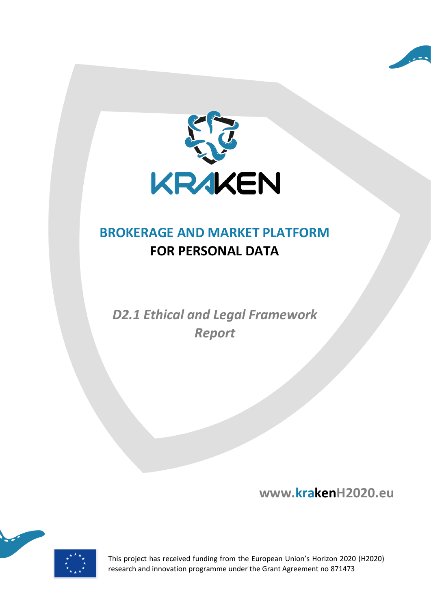



# **BROKERAGE AND MARKET PLATFORM FOR PERSONAL DATA**

*D2.1 Ethical and Legal Framework Report*

**www.krakenH2020.eu**



This project has received funding from the European Union's Horizon 2020 (H2020) research and innovation programme under the Grant Agreement no 871473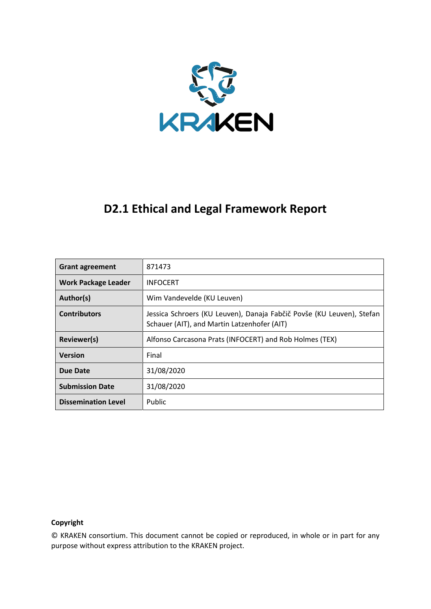

## **D2.1 Ethical and Legal Framework Report**

| <b>Grant agreement</b>     | 871473                                                                                                               |  |
|----------------------------|----------------------------------------------------------------------------------------------------------------------|--|
| <b>Work Package Leader</b> | <b>INFOCERT</b>                                                                                                      |  |
| Author(s)                  | Wim Vandevelde (KU Leuven)                                                                                           |  |
| <b>Contributors</b>        | Jessica Schroers (KU Leuven), Danaja Fabčič Povše (KU Leuven), Stefan<br>Schauer (AIT), and Martin Latzenhofer (AIT) |  |
| Reviewer(s)                | Alfonso Carcasona Prats (INFOCERT) and Rob Holmes (TEX)                                                              |  |
| <b>Version</b>             | Final                                                                                                                |  |
| Due Date                   | 31/08/2020                                                                                                           |  |
| <b>Submission Date</b>     | 31/08/2020                                                                                                           |  |
| <b>Dissemination Level</b> | Public                                                                                                               |  |

#### **Copyright**

© KRAKEN consortium. This document cannot be copied or reproduced, in whole or in part for any purpose without express attribution to the KRAKEN project.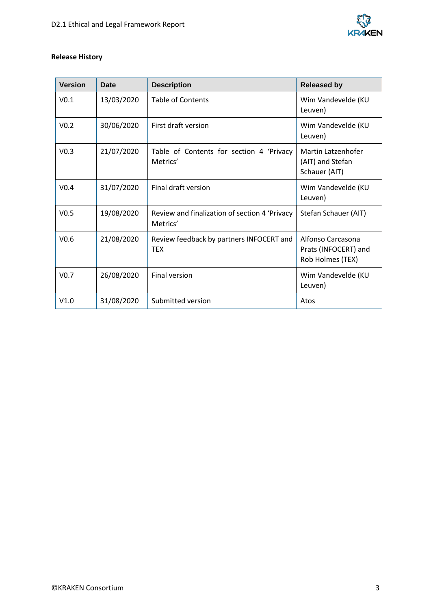

#### **Release History**

| <b>Version</b>   | Date       | <b>Description</b>                                        | <b>Released by</b>                                            |
|------------------|------------|-----------------------------------------------------------|---------------------------------------------------------------|
| V <sub>0.1</sub> | 13/03/2020 | <b>Table of Contents</b>                                  | Wim Vandevelde (KU<br>Leuven)                                 |
| V <sub>0.2</sub> | 30/06/2020 | First draft version                                       | Wim Vandevelde (KU<br>Leuven)                                 |
| V <sub>0.3</sub> | 21/07/2020 | Table of Contents for section 4 'Privacy<br>Metrics'      | Martin Latzenhofer<br>(AIT) and Stefan<br>Schauer (AIT)       |
| V <sub>0.4</sub> | 31/07/2020 | Final draft version                                       | Wim Vandevelde (KU<br>Leuven)                                 |
| V <sub>0.5</sub> | 19/08/2020 | Review and finalization of section 4 'Privacy<br>Metrics' | Stefan Schauer (AIT)                                          |
| V <sub>0.6</sub> | 21/08/2020 | Review feedback by partners INFOCERT and<br><b>TFX</b>    | Alfonso Carcasona<br>Prats (INFOCERT) and<br>Rob Holmes (TEX) |
| V <sub>0.7</sub> | 26/08/2020 | <b>Final version</b>                                      | Wim Vandevelde (KU<br>Leuven)                                 |
| V1.0             | 31/08/2020 | Submitted version                                         | Atos                                                          |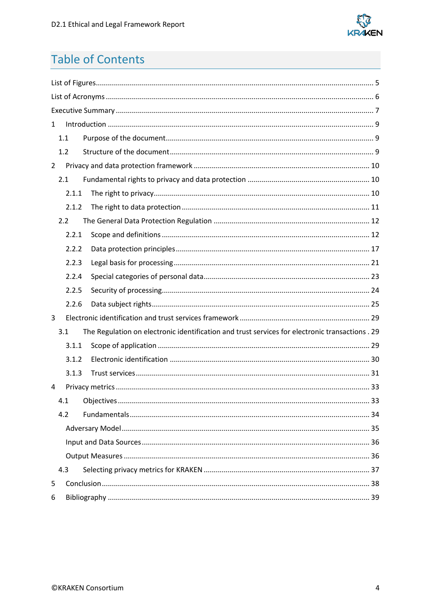

# **Table of Contents**

| $\mathbf{1}$   |       |                                                                                                 |  |
|----------------|-------|-------------------------------------------------------------------------------------------------|--|
|                | 1.1   |                                                                                                 |  |
|                | 1.2   |                                                                                                 |  |
| $\overline{2}$ |       |                                                                                                 |  |
|                | 2.1   |                                                                                                 |  |
|                | 2.1.1 |                                                                                                 |  |
|                | 2.1.2 |                                                                                                 |  |
|                | 2.2   |                                                                                                 |  |
|                | 2.2.1 |                                                                                                 |  |
|                | 2.2.2 |                                                                                                 |  |
|                | 2.2.3 |                                                                                                 |  |
|                | 2.2.4 |                                                                                                 |  |
|                | 2.2.5 |                                                                                                 |  |
|                | 2.2.6 |                                                                                                 |  |
| 3              |       |                                                                                                 |  |
|                | 3.1   | The Regulation on electronic identification and trust services for electronic transactions . 29 |  |
|                | 3.1.1 |                                                                                                 |  |
|                | 3.1.2 |                                                                                                 |  |
|                | 3.1.3 |                                                                                                 |  |
| 4              |       |                                                                                                 |  |
|                | 4.1   |                                                                                                 |  |
|                | 4.2   |                                                                                                 |  |
|                |       |                                                                                                 |  |
|                |       |                                                                                                 |  |
|                |       |                                                                                                 |  |
|                | 4.3   |                                                                                                 |  |
| 5              |       |                                                                                                 |  |
| 6              |       |                                                                                                 |  |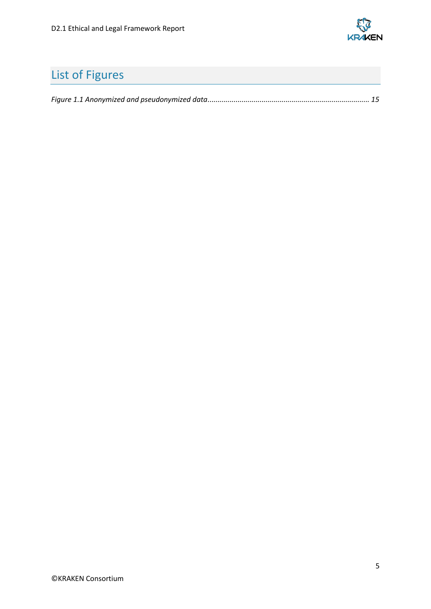

# <span id="page-4-0"></span>List of Figures

|--|--|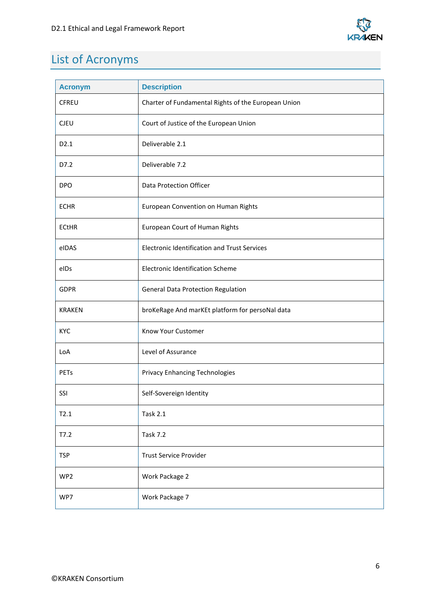

# <span id="page-5-0"></span>List of Acronyms

| <b>Acronym</b>   | <b>Description</b>                                  |
|------------------|-----------------------------------------------------|
| <b>CFREU</b>     | Charter of Fundamental Rights of the European Union |
| <b>CJEU</b>      | Court of Justice of the European Union              |
| D <sub>2.1</sub> | Deliverable 2.1                                     |
| D7.2             | Deliverable 7.2                                     |
| <b>DPO</b>       | Data Protection Officer                             |
| <b>ECHR</b>      | European Convention on Human Rights                 |
| <b>ECtHR</b>     | European Court of Human Rights                      |
| eIDAS            | <b>Electronic Identification and Trust Services</b> |
| eIDs             | <b>Electronic Identification Scheme</b>             |
| <b>GDPR</b>      | General Data Protection Regulation                  |
| <b>KRAKEN</b>    | broKeRage And marKEt platform for persoNal data     |
| <b>KYC</b>       | Know Your Customer                                  |
| LoA              | Level of Assurance                                  |
| PETs             | <b>Privacy Enhancing Technologies</b>               |
| SSI              | Self-Sovereign Identity                             |
| T2.1             | <b>Task 2.1</b>                                     |
| T7.2             | <b>Task 7.2</b>                                     |
| <b>TSP</b>       | <b>Trust Service Provider</b>                       |
| WP2              | Work Package 2                                      |
| WP7              | Work Package 7                                      |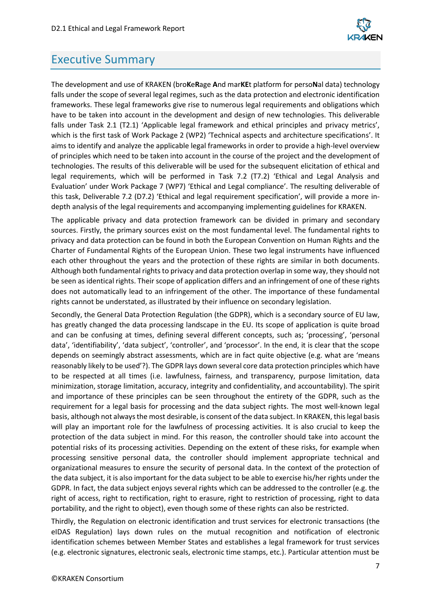

## <span id="page-6-0"></span>Executive Summary

The development and use of KRAKEN (bro**K**e**R**age **A**nd mar**KE**t platform for perso**N**al data) technology falls under the scope of several legal regimes, such as the data protection and electronic identification frameworks. These legal frameworks give rise to numerous legal requirements and obligations which have to be taken into account in the development and design of new technologies. This deliverable falls under Task 2.1 (T2.1) 'Applicable legal framework and ethical principles and privacy metrics', which is the first task of Work Package 2 (WP2) 'Technical aspects and architecture specifications'. It aims to identify and analyze the applicable legal frameworks in order to provide a high-level overview of principles which need to be taken into account in the course of the project and the development of technologies. The results of this deliverable will be used for the subsequent elicitation of ethical and legal requirements, which will be performed in Task 7.2 (T7.2) 'Ethical and Legal Analysis and Evaluation' under Work Package 7 (WP7) 'Ethical and Legal compliance'. The resulting deliverable of this task, Deliverable 7.2 (D7.2) 'Ethical and legal requirement specification', will provide a more indepth analysis of the legal requirements and accompanying implementing guidelines for KRAKEN.

The applicable privacy and data protection framework can be divided in primary and secondary sources. Firstly, the primary sources exist on the most fundamental level. The fundamental rights to privacy and data protection can be found in both the European Convention on Human Rights and the Charter of Fundamental Rights of the European Union. These two legal instruments have influenced each other throughout the years and the protection of these rights are similar in both documents. Although both fundamental rights to privacy and data protection overlap in some way, they should not be seen as identical rights. Their scope of application differs and an infringement of one of these rights does not automatically lead to an infringement of the other. The importance of these fundamental rights cannot be understated, as illustrated by their influence on secondary legislation.

Secondly, the General Data Protection Regulation (the GDPR), which is a secondary source of EU law, has greatly changed the data processing landscape in the EU. Its scope of application is quite broad and can be confusing at times, defining several different concepts, such as; 'processing', 'personal data', 'identifiability', 'data subject', 'controller', and 'processor'. In the end, it is clear that the scope depends on seemingly abstract assessments, which are in fact quite objective (e.g. what are 'means reasonably likely to be used'?). The GDPR lays down several core data protection principles which have to be respected at all times (i.e. lawfulness, fairness, and transparency, purpose limitation, data minimization, storage limitation, accuracy, integrity and confidentiality, and accountability). The spirit and importance of these principles can be seen throughout the entirety of the GDPR, such as the requirement for a legal basis for processing and the data subject rights. The most well-known legal basis, although not always the most desirable, is consent of the data subject. In KRAKEN, this legal basis will play an important role for the lawfulness of processing activities. It is also crucial to keep the protection of the data subject in mind. For this reason, the controller should take into account the potential risks of its processing activities. Depending on the extent of these risks, for example when processing sensitive personal data, the controller should implement appropriate technical and organizational measures to ensure the security of personal data. In the context of the protection of the data subject, it is also important for the data subject to be able to exercise his/her rights under the GDPR. In fact, the data subject enjoys several rights which can be addressed to the controller (e.g. the right of access, right to rectification, right to erasure, right to restriction of processing, right to data portability, and the right to object), even though some of these rights can also be restricted.

Thirdly, the Regulation on electronic identification and trust services for electronic transactions (the eIDAS Regulation) lays down rules on the mutual recognition and notification of electronic identification schemes between Member States and establishes a legal framework for trust services (e.g. electronic signatures, electronic seals, electronic time stamps, etc.). Particular attention must be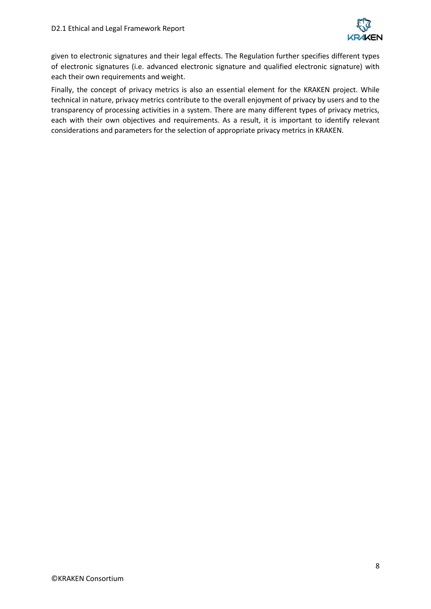

given to electronic signatures and their legal effects. The Regulation further specifies different types of electronic signatures (i.e. advanced electronic signature and qualified electronic signature) with each their own requirements and weight.

Finally, the concept of privacy metrics is also an essential element for the KRAKEN project. While technical in nature, privacy metrics contribute to the overall enjoyment of privacy by users and to the transparency of processing activities in a system. There are many different types of privacy metrics, each with their own objectives and requirements. As a result, it is important to identify relevant considerations and parameters for the selection of appropriate privacy metrics in KRAKEN.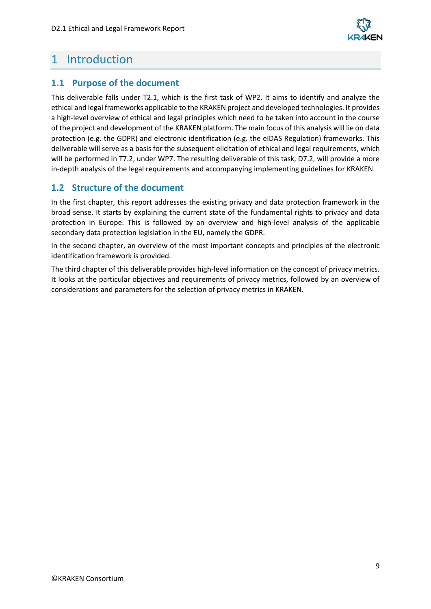

## <span id="page-8-0"></span>1 Introduction

## <span id="page-8-1"></span>**1.1 Purpose of the document**

This deliverable falls under T2.1, which is the first task of WP2. It aims to identify and analyze the ethical and legal frameworks applicable to the KRAKEN project and developed technologies. It provides a high-level overview of ethical and legal principles which need to be taken into account in the course of the project and development of the KRAKEN platform. The main focus of this analysis will lie on data protection (e.g. the GDPR) and electronic identification (e.g. the eIDAS Regulation) frameworks. This deliverable will serve as a basis for the subsequent elicitation of ethical and legal requirements, which will be performed in T7.2, under WP7. The resulting deliverable of this task, D7.2, will provide a more in-depth analysis of the legal requirements and accompanying implementing guidelines for KRAKEN.

## <span id="page-8-2"></span>**1.2 Structure of the document**

In the first chapter, this report addresses the existing privacy and data protection framework in the broad sense. It starts by explaining the current state of the fundamental rights to privacy and data protection in Europe. This is followed by an overview and high-level analysis of the applicable secondary data protection legislation in the EU, namely the GDPR.

In the second chapter, an overview of the most important concepts and principles of the electronic identification framework is provided.

The third chapter of this deliverable provides high-level information on the concept of privacy metrics. It looks at the particular objectives and requirements of privacy metrics, followed by an overview of considerations and parameters for the selection of privacy metrics in KRAKEN.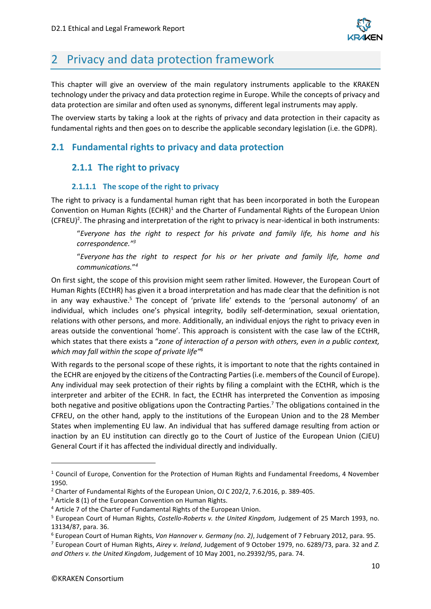

## <span id="page-9-0"></span>2 Privacy and data protection framework

This chapter will give an overview of the main regulatory instruments applicable to the KRAKEN technology under the privacy and data protection regime in Europe. While the concepts of privacy and data protection are similar and often used as synonyms, different legal instruments may apply.

The overview starts by taking a look at the rights of privacy and data protection in their capacity as fundamental rights and then goes on to describe the applicable secondary legislation (i.e. the GDPR).

## <span id="page-9-2"></span><span id="page-9-1"></span>**2.1 Fundamental rights to privacy and data protection**

## **2.1.1 The right to privacy**

#### **2.1.1.1 The scope of the right to privacy**

The right to privacy is a fundamental human right that has been incorporated in both the European Convention on Human Rights (ECHR)<sup>1</sup> and the Charter of Fundamental Rights of the European Union  $(CFRED)^2$ . The phrasing and interpretation of the right to privacy is near-identical in both instruments:

"*Everyone has the right to respect for his private and family life, his home and his correspondence." 3*

"*Everyone has the right to respect for his or her private and family life, home and communications.*" *4*

On first sight, the scope of this provision might seem rather limited. However, the European Court of Human Rights (ECtHR) has given it a broad interpretation and has made clear that the definition is not in any way exhaustive.<sup>5</sup> The concept of 'private life' extends to the 'personal autonomy' of an individual, which includes one's physical integrity, bodily self-determination, sexual orientation, relations with other persons, and more. Additionally, an individual enjoys the right to privacy even in areas outside the conventional 'home'. This approach is consistent with the case law of the ECtHR, which states that there exists a "*zone of interaction of a person with others, even in a public context, which may fall within the scope of private life"<sup>6</sup>*

With regards to the personal scope of these rights, it is important to note that the rights contained in the ECHR are enjoyed by the citizens of the Contracting Parties (i.e. members of the Council of Europe). Any individual may seek protection of their rights by filing a complaint with the ECtHR, which is the interpreter and arbiter of the ECHR. In fact, the ECtHR has interpreted the Convention as imposing both negative and positive obligations upon the Contracting Parties. <sup>7</sup> The obligations contained in the CFREU, on the other hand, apply to the institutions of the European Union and to the 28 Member States when implementing EU law. An individual that has suffered damage resulting from action or inaction by an EU institution can directly go to the Court of Justice of the European Union (CJEU) General Court if it has affected the individual directly and individually.

<sup>&</sup>lt;sup>1</sup> Council of Europe, Convention for the Protection of Human Rights and Fundamental Freedoms, 4 November 1950.

<sup>2</sup> Charter of Fundamental Rights of the European Union, OJ C 202/2, 7.6.2016, p. 389-405.

 $3$  Article 8 (1) of the European Convention on Human Rights.

<sup>4</sup> Article 7 of the Charter of Fundamental Rights of the European Union.

<sup>5</sup> European Court of Human Rights, *Costello-Roberts v. the United Kingdom,* Judgement of 25 March 1993, no. 13134/87, para. 36.

<sup>6</sup> European Court of Human Rights, *Von Hannover v. Germany (no. 2)*, Judgement of 7 February 2012, para. 95.

<sup>7</sup> European Court of Human Rights, *Airey v. Ireland*, Judgement of 9 October 1979, no. 6289/73, para. 32 and *Z. and Others v. the United Kingdom*, Judgement of 10 May 2001, no.29392/95, para. 74.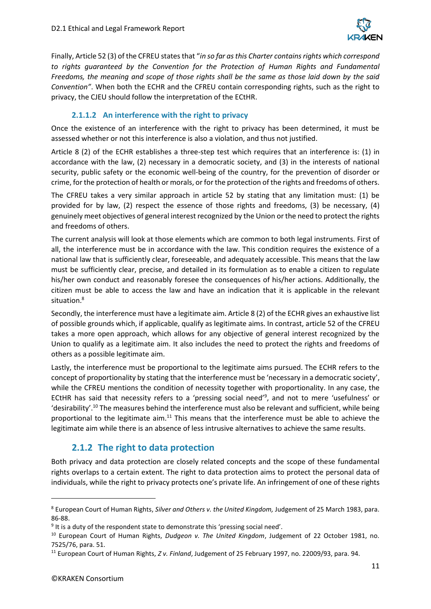

Finally, Article 52 (3) of the CFREU states that "*in so far as this Charter contains rights which correspond*  to rights guaranteed by the Convention for the Protection of Human Rights and Fundamental *Freedoms, the meaning and scope of those rights shall be the same as those laid down by the said Convention"*. When both the ECHR and the CFREU contain corresponding rights, such as the right to privacy, the CJEU should follow the interpretation of the ECtHR.

#### **2.1.1.2 An interference with the right to privacy**

Once the existence of an interference with the right to privacy has been determined, it must be assessed whether or not this interference is also a violation, and thus not justified.

Article 8 (2) of the ECHR establishes a three-step test which requires that an interference is: (1) in accordance with the law, (2) necessary in a democratic society, and (3) in the interests of national security, public safety or the economic well-being of the country, for the prevention of disorder or crime, for the protection of health or morals, or for the protection of the rights and freedoms of others.

The CFREU takes a very similar approach in article 52 by stating that any limitation must: (1) be provided for by law, (2) respect the essence of those rights and freedoms, (3) be necessary, (4) genuinely meet objectives of general interest recognized by the Union or the need to protect the rights and freedoms of others.

The current analysis will look at those elements which are common to both legal instruments. First of all, the interference must be in accordance with the law. This condition requires the existence of a national law that is sufficiently clear, foreseeable, and adequately accessible. This means that the law must be sufficiently clear, precise, and detailed in its formulation as to enable a citizen to regulate his/her own conduct and reasonably foresee the consequences of his/her actions. Additionally, the citizen must be able to access the law and have an indication that it is applicable in the relevant situation.<sup>8</sup>

Secondly, the interference must have a legitimate aim. Article 8 (2) of the ECHR gives an exhaustive list of possible grounds which, if applicable, qualify as legitimate aims. In contrast, article 52 of the CFREU takes a more open approach, which allows for any objective of general interest recognized by the Union to qualify as a legitimate aim. It also includes the need to protect the rights and freedoms of others as a possible legitimate aim.

Lastly, the interference must be proportional to the legitimate aims pursued. The ECHR refers to the concept of proportionality by stating that the interference must be 'necessary in a democratic society', while the CFREU mentions the condition of necessity together with proportionality. In any case, the ECtHR has said that necessity refers to a 'pressing social need'<sup>9</sup>, and not to mere 'usefulness' or 'desirability'.<sup>10</sup> The measures behind the interference must also be relevant and sufficient, while being proportional to the legitimate aim.<sup>11</sup> This means that the interference must be able to achieve the legitimate aim while there is an absence of less intrusive alternatives to achieve the same results.

## **2.1.2 The right to data protection**

<span id="page-10-0"></span>Both privacy and data protection are closely related concepts and the scope of these fundamental rights overlaps to a certain extent. The right to data protection aims to protect the personal data of individuals, while the right to privacy protects one's private life. An infringement of one of these rights

<sup>8</sup> European Court of Human Rights, *Silver and Others v. the United Kingdom,* Judgement of 25 March 1983, para. 86-88.

<sup>&</sup>lt;sup>9</sup> It is a duty of the respondent state to demonstrate this 'pressing social need'.

<sup>10</sup> European Court of Human Rights, *Dudgeon v. The United Kingdom*, Judgement of 22 October 1981, no. 7525/76, para. 51.

<sup>11</sup> European Court of Human Rights, *Z v. Finland*, Judgement of 25 February 1997, no. 22009/93, para. 94.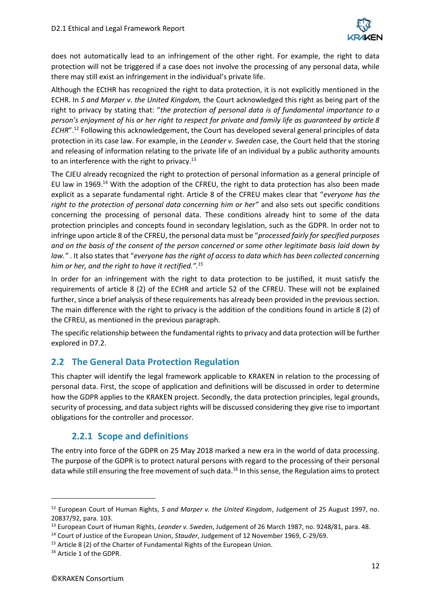

does not automatically lead to an infringement of the other right. For example, the right to data protection will not be triggered if a case does not involve the processing of any personal data, while there may still exist an infringement in the individual's private life.

Although the ECtHR has recognized the right to data protection, it is not explicitly mentioned in the ECHR. In *S and Marper v. the United Kingdom,* the Court acknowledged this right as being part of the right to privacy by stating that: "*the protection of personal data is of fundamental importance to a person's enjoyment of his or her right to respect for private and family life as guaranteed by article 8 ECHR*".<sup>12</sup> Following this acknowledgement, the Court has developed several general principles of data protection in its case law. For example, in the *Leander v. Sweden* case, the Court held that the storing and releasing of information relating to the private life of an individual by a public authority amounts to an interference with the right to privacy. $^{13}$ 

The CJEU already recognized the right to protection of personal information as a general principle of EU law in 1969.<sup>14</sup> With the adoption of the CFREU, the right to data protection has also been made explicit as a separate fundamental right. Article 8 of the CFREU makes clear that "*everyone has the right to the protection of personal data concerning him or her"* and also sets out specific conditions concerning the processing of personal data. These conditions already hint to some of the data protection principles and concepts found in secondary legislation, such as the GDPR. In order not to infringe upon article 8 of the CFREU, the personal data must be "*processed fairly for specified purposes and on the basis of the consent of the person concerned or some other legitimate basis laid down by law."* . It also states that "*everyone has the right of access to data which has been collected concerning him or her, and the right to have it rectified.".<sup>15</sup>*

In order for an infringement with the right to data protection to be justified, it must satisfy the requirements of article 8 (2) of the ECHR and article 52 of the CFREU. These will not be explained further, since a brief analysis of these requirements has already been provided in the previous section. The main difference with the right to privacy is the addition of the conditions found in article 8 (2) of the CFREU, as mentioned in the previous paragraph.

The specific relationship between the fundamental rights to privacy and data protection will be further explored in D7.2.

## <span id="page-11-0"></span>**2.2 The General Data Protection Regulation**

This chapter will identify the legal framework applicable to KRAKEN in relation to the processing of personal data. First, the scope of application and definitions will be discussed in order to determine how the GDPR applies to the KRAKEN project. Secondly, the data protection principles, legal grounds, security of processing, and data subject rights will be discussed considering they give rise to important obligations for the controller and processor.

## **2.2.1 Scope and definitions**

<span id="page-11-1"></span>The entry into force of the GDPR on 25 May 2018 marked a new era in the world of data processing. The purpose of the GDPR is to protect natural persons with regard to the processing of their personal data while still ensuring the free movement of such data.<sup>16</sup> In this sense, the Regulation aims to protect

<sup>12</sup> European Court of Human Rights, *S and Marper v. the United Kingdom*, Judgement of 25 August 1997, no. 20837/92, para. 103.

<sup>13</sup> European Court of Human Rights, *Leander v. Sweden*, Judgement of 26 March 1987, no. 9248/81, para. 48.

<sup>14</sup> Court of Justice of the European Union, *Stauder*, Judgement of 12 November 1969, C-29/69.

<sup>&</sup>lt;sup>15</sup> Article 8 (2) of the Charter of Fundamental Rights of the European Union.

<sup>&</sup>lt;sup>16</sup> Article 1 of the GDPR.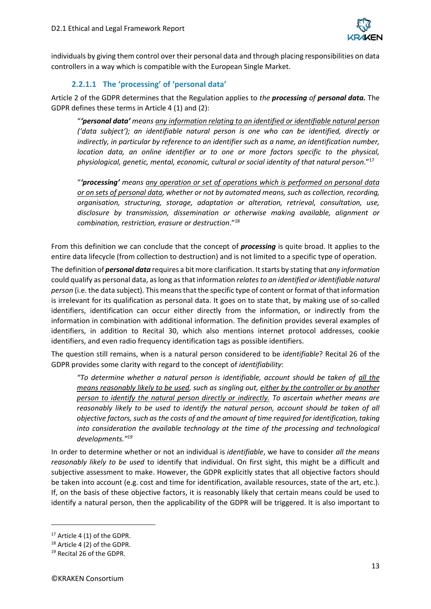

individuals by giving them control over their personal data and through placing responsibilities on data controllers in a way which is compatible with the European Single Market.

#### **2.2.1.1 The 'processing' of 'personal data'**

Article 2 of the GDPR determines that the Regulation applies to *the processing of personal data.* The GDPR defines these terms in Article 4 (1) and (2):

"*'personal data' means any information relating to an identified or identifiable natural person ('data subject'); an identifiable natural person is one who can be identified, directly or indirectly, in particular by reference to an identifier such as a name, an identification number, location data, an online identifier or to one or more factors specific to the physical, physiological, genetic, mental, economic, cultural or social identity of that natural person*." 17

"*'processing' means any operation or set of operations which is performed on personal data or on sets of personal data, whether or not by automated means, such as collection, recording, organisation, structuring, storage, adaptation or alteration, retrieval, consultation, use, disclosure by transmission, dissemination or otherwise making available, alignment or combination, restriction, erasure or destruction*." 18

From this definition we can conclude that the concept of *processing* is quite broad. It applies to the entire data lifecycle (from collection to destruction) and is not limited to a specific type of operation.

The definition of *personal data* requires a bit more clarification. It starts by stating that *any information*  could qualify as personal data, as long as that information *relates to an identified or identifiable natural person* (i.e. the data subject)*.* This means that the specific type of content or format of that information is irrelevant for its qualification as personal data. It goes on to state that, by making use of so-called identifiers, identification can occur either directly from the information, or indirectly from the information in combination with additional information. The definition provides several examples of identifiers, in addition to Recital 30, which also mentions internet protocol addresses, cookie identifiers, and even radio frequency identification tags as possible identifiers.

The question still remains, when is a natural person considered to be *identifiable*? Recital 26 of the GDPR provides some clarity with regard to the concept of *identifiability*:

*"To determine whether a natural person is identifiable, account should be taken of all the means reasonably likely to be used, such as singling out, either by the controller or by another person to identify the natural person directly or indirectly. To ascertain whether means are reasonably likely to be used to identify the natural person, account should be taken of all objective factors, such as the costs of and the amount of time required for identification, taking into consideration the available technology at the time of the processing and technological developments." 19*

In order to determine whether or not an individual is *identifiable*, we have to consider *all the means reasonably likely to be used* to identify that individual. On first sight, this might be a difficult and subjective assessment to make. However, the GDPR explicitly states that all objective factors should be taken into account (e.g. cost and time for identification, available resources, state of the art, etc.). If, on the basis of these objective factors, it is reasonably likely that certain means could be used to identify a natural person, then the applicability of the GDPR will be triggered. It is also important to

<sup>17</sup> Article 4 (1) of the GDPR.

<sup>&</sup>lt;sup>18</sup> Article 4 (2) of the GDPR.

<sup>19</sup> Recital 26 of the GDPR.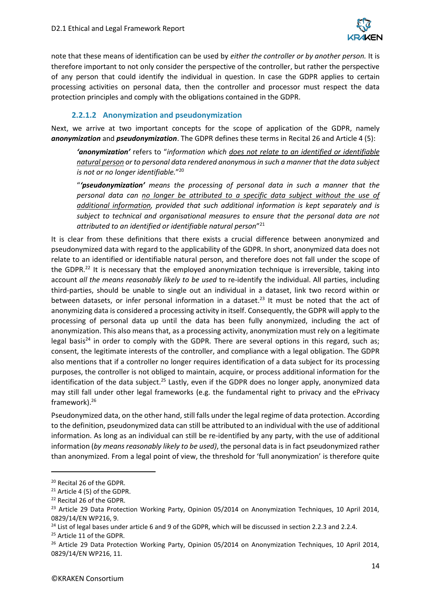

note that these means of identification can be used by *either the controller or by another person.* It is therefore important to not only consider the perspective of the controller, but rather the perspective of any person that could identify the individual in question. In case the GDPR applies to certain processing activities on personal data, then the controller and processor must respect the data protection principles and comply with the obligations contained in the GDPR.

#### **2.2.1.2 Anonymization and pseudonymization**

Next, we arrive at two important concepts for the scope of application of the GDPR, namely *anonymization* and *pseudonymization*. The GDPR defines these terms in Recital 26 and Article 4 (5):

*'anonymization'* refers to "*information which does not relate to an identified or identifiable natural person or to personal data rendered anonymous in such a manner that the data subject is not or no longer identifiable.*" 20

"*'pseudonymization' means the processing of personal data in such a manner that the personal data can no longer be attributed to a specific data subject without the use of additional information, provided that such additional information is kept separately and is subject to technical and organisational measures to ensure that the personal data are not attributed to an identified or identifiable natural person*" 21

It is clear from these definitions that there exists a crucial difference between anonymized and pseudonymized data with regard to the applicability of the GDPR. In short, anonymized data does not relate to an identified or identifiable natural person, and therefore does not fall under the scope of the GDPR.<sup>22</sup> It is necessary that the employed anonymization technique is irreversible, taking into account *all the means reasonably likely to be used* to re-identify the individual. All parties, including third-parties, should be unable to single out an individual in a dataset, link two record within or between datasets, or infer personal information in a dataset.<sup>23</sup> It must be noted that the act of anonymizing data is considered a processing activity in itself. Consequently, the GDPR will apply to the processing of personal data up until the data has been fully anonymized, including the act of anonymization. This also means that, as a processing activity, anonymization must rely on a legitimate legal basis<sup>24</sup> in order to comply with the GDPR. There are several options in this regard, such as; consent, the legitimate interests of the controller, and compliance with a legal obligation. The GDPR also mentions that if a controller no longer requires identification of a data subject for its processing purposes, the controller is not obliged to maintain, acquire, or process additional information for the identification of the data subject.<sup>25</sup> Lastly, even if the GDPR does no longer apply, anonymized data may still fall under other legal frameworks (e.g. the fundamental right to privacy and the ePrivacy framework).<sup>26</sup>

Pseudonymized data, on the other hand, still falls under the legal regime of data protection. According to the definition, pseudonymized data can still be attributed to an individual with the use of additional information. As long as an individual can still be re-identified by any party, with the use of additional information (*by means reasonably likely to be used)*, the personal data is in fact pseudonymized rather than anonymized. From a legal point of view, the threshold for 'full anonymization' is therefore quite

<sup>&</sup>lt;sup>20</sup> Recital 26 of the GDPR.

<sup>21</sup> Article 4 (5) of the GDPR.

<sup>&</sup>lt;sup>22</sup> Recital 26 of the GDPR.

<sup>&</sup>lt;sup>23</sup> Article 29 Data Protection Working Party, Opinion 05/2014 on Anonymization Techniques, 10 April 2014, 0829/14/EN WP216, 9.

 $^{24}$  List of legal bases under article 6 and 9 of the GDPR, which will be discussed in section 2.2.3 and 2.2.4.

<sup>&</sup>lt;sup>25</sup> Article 11 of the GDPR.

<sup>&</sup>lt;sup>26</sup> Article 29 Data Protection Working Party, Opinion 05/2014 on Anonymization Techniques, 10 April 2014, 0829/14/EN WP216, 11.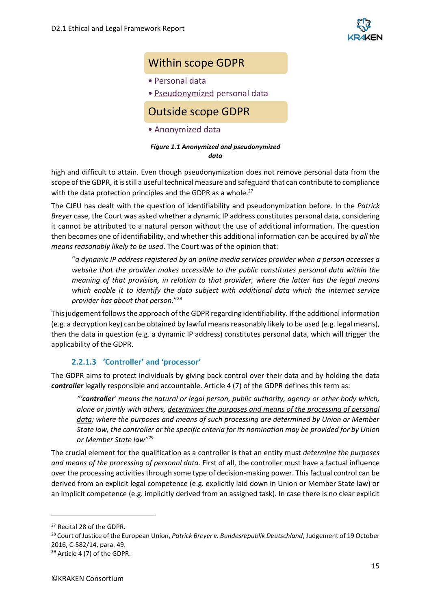

## Within scope GDPR

- Personal data
- Pseudonymized personal data

## Outside scope GDPR

• Anonymized data

#### *Figure 1.1 Anonymized and pseudonymized data*

high and difficult to attain. Even though pseudonymization does not remove personal data from the scope of the GDPR, it is still a useful technical measure and safeguard that can contribute to compliance with the data protection principles and the GDPR as a whole.<sup>27</sup>

The CJEU has dealt with the question of identifiability and pseudonymization before. In the *Patrick Breyer* case, the Court was asked whether a dynamic IP address constitutes personal data, considering it cannot be attributed to a natural person without the use of additional information. The question then becomes one of identifiability, and whether this additional information can be acquired by *all the means reasonably likely to be used*. The Court was of the opinion that:

"*a dynamic IP address registered by an online media services provider when a person accesses a website that the provider makes accessible to the public constitutes personal data within the meaning of that provision, in relation to that provider, where the latter has the legal means which enable it to identify the data subject with additional data which the internet service provider has about that person.*" 28

This judgement follows the approach of the GDPR regarding identifiability. If the additional information (e.g. a decryption key) can be obtained by lawful means reasonably likely to be used (e.g. legal means), then the data in question (e.g. a dynamic IP address) constitutes personal data, which will trigger the applicability of the GDPR.

#### **2.2.1.3 'Controller' and 'processor'**

The GDPR aims to protect individuals by giving back control over their data and by holding the data *controller* legally responsible and accountable. Article 4 (7) of the GDPR defines this term as:

*"'controller' means the natural or legal person, public authority, agency or other body which, alone or jointly with others, determines the purposes and means of the processing of personal data; where the purposes and means of such processing are determined by Union or Member State law, the controller or the specific criteria for its nomination may be provided for by Union or Member State law" 29*

The crucial element for the qualification as a controller is that an entity must *determine the purposes and means of the processing of personal data.* First of all, the controller must have a factual influence over the processing activities through some type of decision-making power. This factual control can be derived from an explicit legal competence (e.g. explicitly laid down in Union or Member State law) or an implicit competence (e.g. implicitly derived from an assigned task). In case there is no clear explicit

<sup>&</sup>lt;sup>27</sup> Recital 28 of the GDPR.

<sup>28</sup> Court of Justice of the European Union, *Patrick Breyer v. Bundesrepublik Deutschland*, Judgement of 19 October 2016, C-582/14, para. 49.

<sup>29</sup> Article 4 (7) of the GDPR.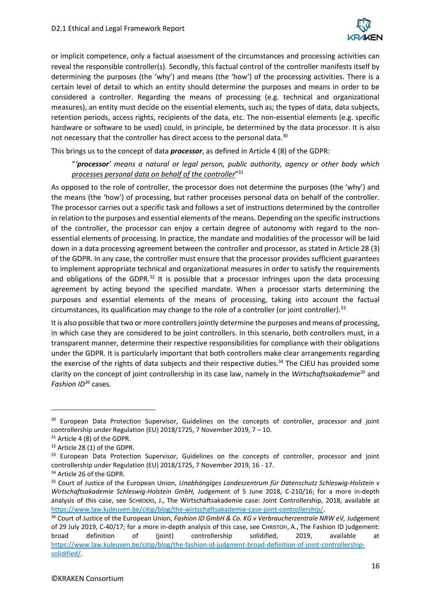

or implicit competence, only a factual assessment of the circumstances and processing activities can reveal the responsible controller(s). Secondly, this factual control of the controller manifests itself by determining the purposes (the 'why') and means (the 'how') of the processing activities. There is a certain level of detail to which an entity should determine the purposes and means in order to be considered a controller. Regarding the means of processing (e.g. technical and organizational measures), an entity must decide on the essential elements, such as; the types of data, data subjects, retention periods, access rights, recipients of the data, etc. The non-essential elements (e.g. specific hardware or software to be used) could, in principle, be determined by the data processor. It is also not necessary that the controller has direct access to the personal data.<sup>30</sup>

This brings us to the concept of data *processor*, as defined in Article 4 (8) of the GDPR:

"*'processor' means a natural or legal person, public authority, agency or other body which processes personal data on behalf of the controller*" 31

As opposed to the role of controller, the processor does not determine the purposes (the 'why') and the means (the 'how') of processing, but rather processes personal data on behalf of the controller. The processor carries out a specific task and follows a set of instructions determined by the controller in relation to the purposes and essential elements of the means. Depending on the specific instructions of the controller, the processor can enjoy a certain degree of autonomy with regard to the nonessential elements of processing. In practice, the mandate and modalities of the processor will be laid down in a data processing agreement between the controller and processor, as stated in Article 28 (3) of the GDPR. In any case, the controller must ensure that the processor provides sufficient guarantees to implement appropriate technical and organizational measures in order to satisfy the requirements and obligations of the GDPR. $32$  It is possible that a processor infringes upon the data processing agreement by acting beyond the specified mandate. When a processor starts determining the purposes and essential elements of the means of processing, taking into account the factual circumstances, its qualification may change to the role of a controller (or joint controller).<sup>33</sup>

It is also possible that two or more controllers jointly determine the purposes and means of processing, in which case they are considered to be joint controllers. In this scenario, both controllers must, in a transparent manner, determine their respective responsibilities for compliance with their obligations under the GDPR. It is particularly important that both controllers make clear arrangements regarding the exercise of the rights of data subjects and their respective duties.<sup>34</sup> The CJEU has provided some clarity on the concept of joint controllership in its case law, namely in the *Wirtschaftsakademie<sup>35</sup>* and *Fashion ID<sup>36</sup>* cases.

<sup>&</sup>lt;sup>30</sup> European Data Protection Supervisor, Guidelines on the concepts of controller, processor and joint controllership under Regulation (EU) 2018/1725, 7 November 2019, 7 – 10.

<sup>&</sup>lt;sup>31</sup> Article 4 (8) of the GDPR.

<sup>&</sup>lt;sup>32</sup> Article 28 (1) of the GDPR.

<sup>&</sup>lt;sup>33</sup> European Data Protection Supervisor, Guidelines on the concepts of controller, processor and joint controllership under Regulation (EU) 2018/1725, 7 November 2019, 16 - 17.

<sup>34</sup> Article 26 of the GDPR.

<sup>35</sup> Court of Justice of the European Union, *Unabhängiges Landeszentrum für Datenschutz Schleswig-Holstein v Wirtschaftsakademie Schleswig-Holstein GmbH,* Judgement of 5 June 2018, C-210/16; for a more in-depth analysis of this case, see SCHROERS, J., The Wirtschaftsakademie case: Joint Controllership, 2018, available at [https://www.law.kuleuven.be/citip/blog/the-wirtschaftsakademie-case-joint-controllership/.](https://www.law.kuleuven.be/citip/blog/the-wirtschaftsakademie-case-joint-controllership/)

<sup>&</sup>lt;sup>36</sup> Court of Justice of the European Union, *Fashion ID GmbH & Co. KG v Verbraucherzentrale NRW eV*, Judgement of 29 July 2019, C-40/17; for a more in-depth analysis of this case, see CHRISTOFI, A., The Fashion ID judgement: broad definition of (joint) controllership solidified, 2019, available at [https://www.law.kuleuven.be/citip/blog/the-fashion-id-judgment-broad-definition-of-joint-controllership](https://www.law.kuleuven.be/citip/blog/the-fashion-id-judgment-broad-definition-of-joint-controllership-solidified/)[solidified/.](https://www.law.kuleuven.be/citip/blog/the-fashion-id-judgment-broad-definition-of-joint-controllership-solidified/)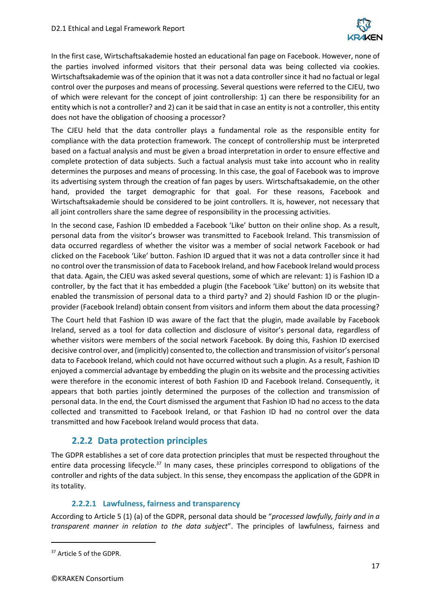

In the first case, Wirtschaftsakademie hosted an educational fan page on Facebook. However, none of the parties involved informed visitors that their personal data was being collected via cookies. Wirtschaftsakademie was of the opinion that it was not a data controller since it had no factual or legal control over the purposes and means of processing. Several questions were referred to the CJEU, two of which were relevant for the concept of joint controllership: 1) can there be responsibility for an entity which is not a controller? and 2) can it be said that in case an entity is not a controller, this entity does not have the obligation of choosing a processor?

The CJEU held that the data controller plays a fundamental role as the responsible entity for compliance with the data protection framework. The concept of controllership must be interpreted based on a factual analysis and must be given a broad interpretation in order to ensure effective and complete protection of data subjects. Such a factual analysis must take into account who in reality determines the purposes and means of processing. In this case, the goal of Facebook was to improve its advertising system through the creation of fan pages by users. Wirtschaftsakademie, on the other hand, provided the target demographic for that goal. For these reasons, Facebook and Wirtschaftsakademie should be considered to be joint controllers. It is, however, not necessary that all joint controllers share the same degree of responsibility in the processing activities.

In the second case, Fashion ID embedded a Facebook 'Like' button on their online shop. As a result, personal data from the visitor's browser was transmitted to Facebook Ireland. This transmission of data occurred regardless of whether the visitor was a member of social network Facebook or had clicked on the Facebook 'Like' button. Fashion ID argued that it was not a data controller since it had no control over the transmission of data to Facebook Ireland, and how Facebook Ireland would process that data. Again, the CJEU was asked several questions, some of which are relevant: 1) is Fashion ID a controller, by the fact that it has embedded a plugin (the Facebook 'Like' button) on its website that enabled the transmission of personal data to a third party? and 2) should Fashion ID or the pluginprovider (Facebook Ireland) obtain consent from visitors and inform them about the data processing?

The Court held that Fashion ID was aware of the fact that the plugin, made available by Facebook Ireland, served as a tool for data collection and disclosure of visitor's personal data, regardless of whether visitors were members of the social network Facebook. By doing this, Fashion ID exercised decisive control over, and (implicitly) consented to, the collection and transmission of visitor's personal data to Facebook Ireland, which could not have occurred without such a plugin. As a result, Fashion ID enjoyed a commercial advantage by embedding the plugin on its website and the processing activities were therefore in the economic interest of both Fashion ID and Facebook Ireland. Consequently, it appears that both parties jointly determined the purposes of the collection and transmission of personal data. In the end, the Court dismissed the argument that Fashion ID had no access to the data collected and transmitted to Facebook Ireland, or that Fashion ID had no control over the data transmitted and how Facebook Ireland would process that data.

#### **2.2.2 Data protection principles**

<span id="page-16-0"></span>The GDPR establishes a set of core data protection principles that must be respected throughout the entire data processing lifecycle.<sup>37</sup> In many cases, these principles correspond to obligations of the controller and rights of the data subject. In this sense, they encompass the application of the GDPR in its totality.

#### **2.2.2.1 Lawfulness, fairness and transparency**

According to Article 5 (1) (a) of the GDPR, personal data should be "*processed lawfully, fairly and in a transparent manner in relation to the data subject*". The principles of lawfulness, fairness and

<sup>&</sup>lt;sup>37</sup> Article 5 of the GDPR.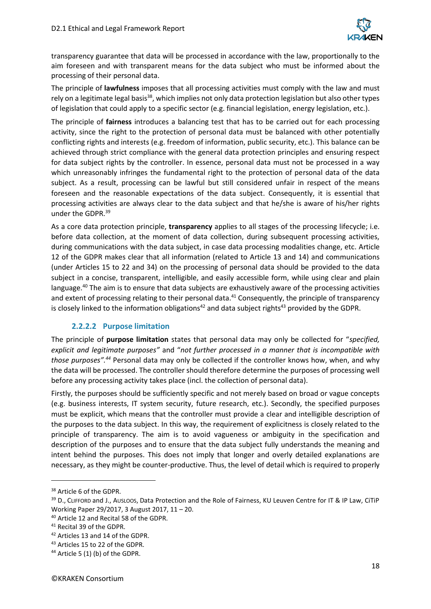

transparency guarantee that data will be processed in accordance with the law, proportionally to the aim foreseen and with transparent means for the data subject who must be informed about the processing of their personal data.

The principle of **lawfulness** imposes that all processing activities must comply with the law and must rely on a legitimate legal basis<sup>38</sup>, which implies not only data protection legislation but also other types of legislation that could apply to a specific sector (e.g. financial legislation, energy legislation, etc.).

The principle of **fairness** introduces a balancing test that has to be carried out for each processing activity, since the right to the protection of personal data must be balanced with other potentially conflicting rights and interests (e.g. freedom of information, public security, etc.). This balance can be achieved through strict compliance with the general data protection principles and ensuring respect for data subject rights by the controller. In essence, personal data must not be processed in a way which unreasonably infringes the fundamental right to the protection of personal data of the data subject. As a result, processing can be lawful but still considered unfair in respect of the means foreseen and the reasonable expectations of the data subject. Consequently, it is essential that processing activities are always clear to the data subject and that he/she is aware of his/her rights under the GDPR.<sup>39</sup>

As a core data protection principle, **transparency** applies to all stages of the processing lifecycle; i.e. before data collection, at the moment of data collection, during subsequent processing activities, during communications with the data subject, in case data processing modalities change, etc. Article 12 of the GDPR makes clear that all information (related to Article 13 and 14) and communications (under Articles 15 to 22 and 34) on the processing of personal data should be provided to the data subject in a concise, transparent, intelligible, and easily accessible form, while using clear and plain language.<sup>40</sup> The aim is to ensure that data subjects are exhaustively aware of the processing activities and extent of processing relating to their personal data.<sup>41</sup> Consequently, the principle of transparency is closely linked to the information obligations<sup>42</sup> and data subject rights<sup>43</sup> provided by the GDPR.

#### **2.2.2.2 Purpose limitation**

The principle of **purpose limitation** states that personal data may only be collected for "*specified, explicit and legitimate purposes"* and "*not further processed in a manner that is incompatible with those purposes".<sup>44</sup>* Personal data may only be collected if the controller knows how, when, and why the data will be processed. The controller should therefore determine the purposes of processing well before any processing activity takes place (incl. the collection of personal data).

Firstly, the purposes should be sufficiently specific and not merely based on broad or vague concepts (e.g. business interests, IT system security, future research, etc.). Secondly, the specified purposes must be explicit, which means that the controller must provide a clear and intelligible description of the purposes to the data subject. In this way, the requirement of explicitness is closely related to the principle of transparency. The aim is to avoid vagueness or ambiguity in the specification and description of the purposes and to ensure that the data subject fully understands the meaning and intent behind the purposes. This does not imply that longer and overly detailed explanations are necessary, as they might be counter-productive. Thus, the level of detail which is required to properly

<sup>&</sup>lt;sup>38</sup> Article 6 of the GDPR.

<sup>&</sup>lt;sup>39</sup> D., CLIFFORD and J., AUSLOOS, Data Protection and the Role of Fairness, KU Leuven Centre for IT & IP Law, CiTiP Working Paper 29/2017, 3 August 2017, 11 – 20.

<sup>40</sup> Article 12 and Recital 58 of the GDPR.

<sup>41</sup> Recital 39 of the GDPR.

<sup>42</sup> Articles 13 and 14 of the GDPR.

<sup>43</sup> Articles 15 to 22 of the GDPR.

<sup>44</sup> Article 5 (1) (b) of the GDPR.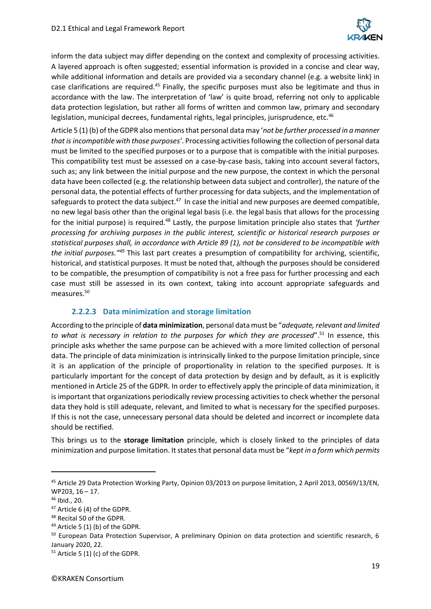

inform the data subject may differ depending on the context and complexity of processing activities. A layered approach is often suggested; essential information is provided in a concise and clear way, while additional information and details are provided via a secondary channel (e.g. a website link) in case clarifications are required.<sup>45</sup> Finally, the specific purposes must also be legitimate and thus in accordance with the law. The interpretation of 'law' is quite broad, referring not only to applicable data protection legislation, but rather all forms of written and common law, primary and secondary legislation, municipal decrees, fundamental rights, legal principles, jurisprudence, etc.<sup>46</sup>

Article 5 (1) (b) of the GDPR also mentions that personal data may '*not be further processed in a manner that is incompatible with those purposes'*. Processing activities following the collection of personal data must be limited to the specified purposes or to a purpose that is compatible with the initial purposes. This compatibility test must be assessed on a case-by-case basis, taking into account several factors, such as; any link between the initial purpose and the new purpose, the context in which the personal data have been collected (e.g. the relationship between data subject and controller), the nature of the personal data, the potential effects of further processing for data subjects, and the implementation of safeguards to protect the data subject.<sup>47</sup> In case the initial and new purposes are deemed compatible, no new legal basis other than the original legal basis (i.e. the legal basis that allows for the processing for the initial purpose) is required.<sup>48</sup> Lastly, the purpose limitation principle also states that *'further processing for archiving purposes in the public interest, scientific or historical research purposes or statistical purposes shall, in accordance with Article 89 (1), not be considered to be incompatible with the initial purposes."<sup>49</sup>* This last part creates a presumption of compatibility for archiving, scientific, historical, and statistical purposes. It must be noted that, although the purposes should be considered to be compatible, the presumption of compatibility is not a free pass for further processing and each case must still be assessed in its own context, taking into account appropriate safeguards and measures.<sup>50</sup>

#### **2.2.2.3 Data minimization and storage limitation**

According to the principle of **data minimization**, personal data must be "*adequate, relevant and limited*  to what is necessary in relation to the purposes for which they are processed".<sup>51</sup> In essence, this principle asks whether the same purpose can be achieved with a more limited collection of personal data. The principle of data minimization is intrinsically linked to the purpose limitation principle, since it is an application of the principle of proportionality in relation to the specified purposes. It is particularly important for the concept of data protection by design and by default, as it is explicitly mentioned in Article 25 of the GDPR. In order to effectively apply the principle of data minimization, it is important that organizations periodically review processing activities to check whether the personal data they hold is still adequate, relevant, and limited to what is necessary for the specified purposes. If this is not the case, unnecessary personal data should be deleted and incorrect or incomplete data should be rectified.

This brings us to the **storage limitation** principle, which is closely linked to the principles of data minimization and purpose limitation. It states that personal data must be "*kept in a form which permits* 

<sup>45</sup> Article 29 Data Protection Working Party, Opinion 03/2013 on purpose limitation, 2 April 2013, 00569/13/EN, WP203, 16 – 17.

<sup>46</sup> Ibid., 20.

<sup>47</sup> Article 6 (4) of the GDPR.

<sup>48</sup> Recital 50 of the GDPR.

 $49$  Article 5 (1) (b) of the GDPR.

<sup>50</sup> European Data Protection Supervisor, A preliminary Opinion on data protection and scientific research, 6 January 2020, 22.

 $51$  Article 5 (1) (c) of the GDPR.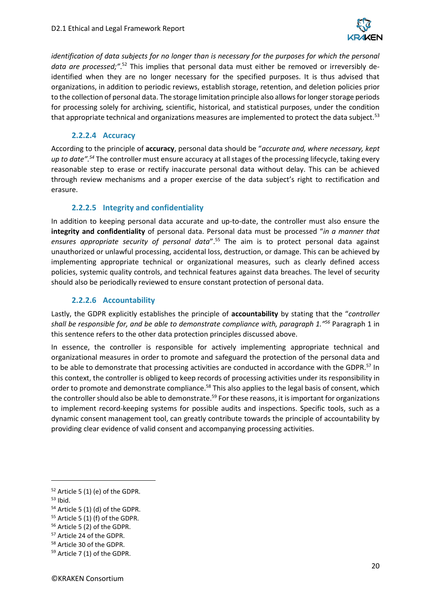

*identification of data subjects for no longer than is necessary for the purposes for which the personal* data are processed;".<sup>52</sup> This implies that personal data must either be removed or irreversibly deidentified when they are no longer necessary for the specified purposes. It is thus advised that organizations, in addition to periodic reviews, establish storage, retention, and deletion policies prior to the collection of personal data. The storage limitation principle also allows for longer storage periods for processing solely for archiving, scientific, historical, and statistical purposes, under the condition that appropriate technical and organizations measures are implemented to protect the data subject.<sup>53</sup>

#### **2.2.2.4 Accuracy**

According to the principle of **accuracy**, personal data should be "*accurate and, where necessary, kept up to date".<sup>54</sup>* The controller must ensure accuracy at all stages of the processing lifecycle, taking every reasonable step to erase or rectify inaccurate personal data without delay. This can be achieved through review mechanisms and a proper exercise of the data subject's right to rectification and erasure.

#### **2.2.2.5 Integrity and confidentiality**

In addition to keeping personal data accurate and up-to-date, the controller must also ensure the **integrity and confidentiality** of personal data. Personal data must be processed "*in a manner that ensures appropriate security of personal data*".<sup>55</sup> The aim is to protect personal data against unauthorized or unlawful processing, accidental loss, destruction, or damage. This can be achieved by implementing appropriate technical or organizational measures, such as clearly defined access policies, systemic quality controls, and technical features against data breaches. The level of security should also be periodically reviewed to ensure constant protection of personal data.

#### **2.2.2.6 Accountability**

Lastly, the GDPR explicitly establishes the principle of **accountability** by stating that the "*controller shall be responsible for, and be able to demonstrate compliance with, paragraph 1." <sup>56</sup>* Paragraph 1 in this sentence refers to the other data protection principles discussed above.

In essence, the controller is responsible for actively implementing appropriate technical and organizational measures in order to promote and safeguard the protection of the personal data and to be able to demonstrate that processing activities are conducted in accordance with the GDPR.<sup>57</sup> In this context, the controller is obliged to keep records of processing activities under its responsibility in order to promote and demonstrate compliance.<sup>58</sup> This also applies to the legal basis of consent, which the controller should also be able to demonstrate.<sup>59</sup> For these reasons, it is important for organizations to implement record-keeping systems for possible audits and inspections. Specific tools, such as a dynamic consent management tool, can greatly contribute towards the principle of accountability by providing clear evidence of valid consent and accompanying processing activities.

 $52$  Article 5 (1) (e) of the GDPR.

<sup>53</sup> Ibid.

 $54$  Article 5 (1) (d) of the GDPR.

 $55$  Article 5 (1) (f) of the GDPR.

<sup>56</sup> Article 5 (2) of the GDPR.

<sup>57</sup> Article 24 of the GDPR.

<sup>58</sup> Article 30 of the GDPR.

<sup>59</sup> Article 7 (1) of the GDPR.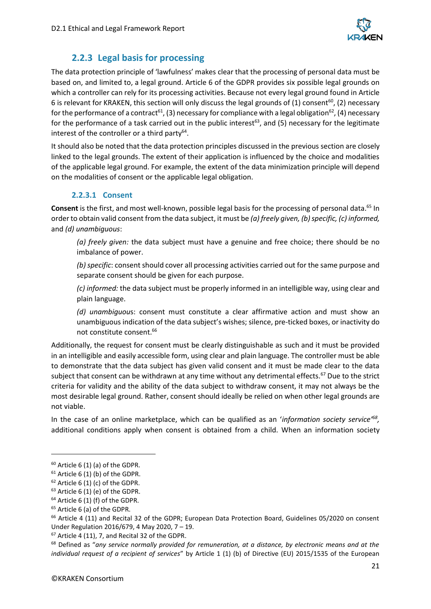

## **2.2.3 Legal basis for processing**

<span id="page-20-0"></span>The data protection principle of 'lawfulness' makes clear that the processing of personal data must be based on, and limited to, a legal ground. Article 6 of the GDPR provides six possible legal grounds on which a controller can rely for its processing activities. Because not every legal ground found in Article 6 is relevant for KRAKEN, this section will only discuss the legal grounds of (1) consent<sup>60</sup>, (2) necessary for the performance of a contract<sup>61</sup>, (3) necessary for compliance with a legal obligation<sup>62</sup>, (4) necessary for the performance of a task carried out in the public interest<sup>63</sup>, and (5) necessary for the legitimate interest of the controller or a third party<sup>64</sup>.

It should also be noted that the data protection principles discussed in the previous section are closely linked to the legal grounds. The extent of their application is influenced by the choice and modalities of the applicable legal ground. For example, the extent of the data minimization principle will depend on the modalities of consent or the applicable legal obligation.

#### **2.2.3.1 Consent**

**Consent** is the first, and most well-known, possible legal basis for the processing of personal data.<sup>65</sup> In order to obtain valid consent from the data subject, it must be *(a) freely given, (b)specific, (c) informed,*  and *(d) unambiguous*:

*(a) freely given:* the data subject must have a genuine and free choice; there should be no imbalance of power.

*(b) specific*: consent should cover all processing activities carried out for the same purpose and separate consent should be given for each purpose.

*(c) informed:* the data subject must be properly informed in an intelligible way, using clear and plain language.

*(d) unambiguou*s: consent must constitute a clear affirmative action and must show an unambiguous indication of the data subject's wishes; silence, pre-ticked boxes, or inactivity do not constitute consent.<sup>66</sup>

Additionally, the request for consent must be clearly distinguishable as such and it must be provided in an intelligible and easily accessible form, using clear and plain language. The controller must be able to demonstrate that the data subject has given valid consent and it must be made clear to the data subject that consent can be withdrawn at any time without any detrimental effects.<sup>67</sup> Due to the strict criteria for validity and the ability of the data subject to withdraw consent, it may not always be the most desirable legal ground. Rather, consent should ideally be relied on when other legal grounds are not viable.

In the case of an online marketplace, which can be qualified as an '*information society service'<sup>68</sup> ,*  additional conditions apply when consent is obtained from a child. When an information society

 $60$  Article 6 (1) (a) of the GDPR.

 $61$  Article 6 (1) (b) of the GDPR.

 $62$  Article 6 (1) (c) of the GDPR.

 $63$  Article 6 (1) (e) of the GDPR.

 $64$  Article 6 (1) (f) of the GDPR.

<sup>65</sup> Article 6 (a) of the GDPR.

<sup>&</sup>lt;sup>66</sup> Article 4 (11) and Recital 32 of the GDPR; European Data Protection Board, Guidelines 05/2020 on consent Under Regulation 2016/679, 4 May 2020, 7 – 19.

<sup>67</sup> Article 4 (11), 7, and Recital 32 of the GDPR.

<sup>68</sup> Defined as "*any service normally provided for remuneration, at a distance, by electronic means and at the individual request of a recipient of services*" by Article 1 (1) (b) of Directive (EU) 2015/1535 of the European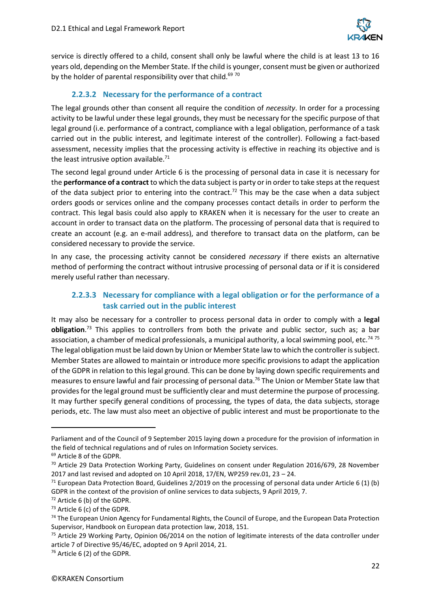

service is directly offered to a child, consent shall only be lawful where the child is at least 13 to 16 years old, depending on the Member State. If the child is younger, consent must be given or authorized by the holder of parental responsibility over that child.<sup>69 70</sup>

### **2.2.3.2 Necessary for the performance of a contract**

The legal grounds other than consent all require the condition of *necessity*. In order for a processing activity to be lawful under these legal grounds, they must be necessary for the specific purpose of that legal ground (i.e. performance of a contract, compliance with a legal obligation, performance of a task carried out in the public interest, and legitimate interest of the controller). Following a fact-based assessment, necessity implies that the processing activity is effective in reaching its objective and is the least intrusive option available. $71$ 

The second legal ground under Article 6 is the processing of personal data in case it is necessary for the **performance of a contract** to which the data subject is party or in order to take steps at the request of the data subject prior to entering into the contract.<sup>72</sup> This may be the case when a data subject orders goods or services online and the company processes contact details in order to perform the contract. This legal basis could also apply to KRAKEN when it is necessary for the user to create an account in order to transact data on the platform. The processing of personal data that is required to create an account (e.g. an e-mail address), and therefore to transact data on the platform, can be considered necessary to provide the service.

In any case, the processing activity cannot be considered *necessary* if there exists an alternative method of performing the contract without intrusive processing of personal data or if it is considered merely useful rather than necessary.

### **2.2.3.3 Necessary for compliance with a legal obligation or for the performance of a task carried out in the public interest**

It may also be necessary for a controller to process personal data in order to comply with a **legal obligation**. <sup>73</sup> This applies to controllers from both the private and public sector, such as; a bar association, a chamber of medical professionals, a municipal authority, a local swimming pool, etc.<sup>74 75</sup> The legal obligation must be laid down by Union or Member State law to which the controller is subject. Member States are allowed to maintain or introduce more specific provisions to adapt the application of the GDPR in relation to this legal ground. This can be done by laying down specific requirements and measures to ensure lawful and fair processing of personal data.<sup>76</sup> The Union or Member State law that provides for the legal ground must be sufficiently clear and must determine the purpose of processing. It may further specify general conditions of processing, the types of data, the data subjects, storage periods, etc. The law must also meet an objective of public interest and must be proportionate to the

Parliament and of the Council of 9 September 2015 laying down a procedure for the provision of information in the field of technical regulations and of rules on Information Society services.

<sup>69</sup> Article 8 of the GDPR.

 $70$  Article 29 Data Protection Working Party, Guidelines on consent under Regulation 2016/679, 28 November 2017 and last revised and adopted on 10 April 2018, 17/EN, WP259 rev.01, 23 – 24.

 $71$  European Data Protection Board, Guidelines 2/2019 on the processing of personal data under Article 6 (1) (b) GDPR in the context of the provision of online services to data subjects, 9 April 2019, 7.

 $72$  Article 6 (b) of the GDPR.

<sup>73</sup> Article 6 (c) of the GDPR.

<sup>&</sup>lt;sup>74</sup> The European Union Agency for Fundamental Rights, the Council of Europe, and the European Data Protection Supervisor, Handbook on European data protection law, 2018, 151.

 $75$  Article 29 Working Party, Opinion 06/2014 on the notion of legitimate interests of the data controller under article 7 of Directive 95/46/EC, adopted on 9 April 2014, 21.

<sup>76</sup> Article 6 (2) of the GDPR.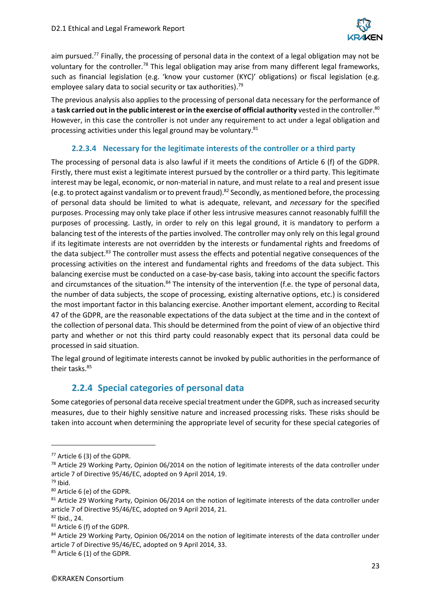

aim pursued.<sup>77</sup> Finally, the processing of personal data in the context of a legal obligation may not be voluntary for the controller.<sup>78</sup> This legal obligation may arise from many different legal frameworks, such as financial legislation (e.g. 'know your customer (KYC)' obligations) or fiscal legislation (e.g. employee salary data to social security or tax authorities).<sup>79</sup>

The previous analysis also applies to the processing of personal data necessary for the performance of a **task carried out in the public interest or in the exercise of official authority** vested in the controller.<sup>80</sup> However, in this case the controller is not under any requirement to act under a legal obligation and processing activities under this legal ground may be voluntary. $81$ 

#### **2.2.3.4 Necessary for the legitimate interests of the controller or a third party**

The processing of personal data is also lawful if it meets the conditions of Article 6 (f) of the GDPR. Firstly, there must exist a legitimate interest pursued by the controller or a third party. This legitimate interest may be legal, economic, or non-material in nature, and must relate to a real and present issue (e.g. to protect against vandalism or to prevent fraud).<sup>82</sup> Secondly, as mentioned before, the processing of personal data should be limited to what is adequate, relevant, and *necessary* for the specified purposes. Processing may only take place if other less intrusive measures cannot reasonably fulfill the purposes of processing. Lastly, in order to rely on this legal ground, it is mandatory to perform a balancing test of the interests of the parties involved. The controller may only rely on this legal ground if its legitimate interests are not overridden by the interests or fundamental rights and freedoms of the data subject.<sup>83</sup> The controller must assess the effects and potential negative consequences of the processing activities on the interest and fundamental rights and freedoms of the data subject. This balancing exercise must be conducted on a case-by-case basis, taking into account the specific factors and circumstances of the situation.<sup>84</sup> The intensity of the intervention (f.e. the type of personal data, the number of data subjects, the scope of processing, existing alternative options, etc.) is considered the most important factor in this balancing exercise. Another important element, according to Recital 47 of the GDPR, are the reasonable expectations of the data subject at the time and in the context of the collection of personal data. This should be determined from the point of view of an objective third party and whether or not this third party could reasonably expect that its personal data could be processed in said situation.

The legal ground of legitimate interests cannot be invoked by public authorities in the performance of their tasks.<sup>85</sup>

## **2.2.4 Special categories of personal data**

<span id="page-22-0"></span>Some categories of personal data receive special treatment under the GDPR, such as increased security measures, due to their highly sensitive nature and increased processing risks. These risks should be taken into account when determining the appropriate level of security for these special categories of

<sup>77</sup> Article 6 (3) of the GDPR.

 $78$  Article 29 Working Party, Opinion 06/2014 on the notion of legitimate interests of the data controller under article 7 of Directive 95/46/EC, adopted on 9 April 2014, 19.

 $79$  Ibid.

<sup>80</sup> Article 6 (e) of the GDPR.

<sup>&</sup>lt;sup>81</sup> Article 29 Working Party, Opinion 06/2014 on the notion of legitimate interests of the data controller under article 7 of Directive 95/46/EC, adopted on 9 April 2014, 21.

<sup>82</sup> Ibid., 24.

<sup>83</sup> Article 6 (f) of the GDPR.

<sup>84</sup> Article 29 Working Party, Opinion 06/2014 on the notion of legitimate interests of the data controller under article 7 of Directive 95/46/EC, adopted on 9 April 2014, 33.

<sup>85</sup> Article 6 (1) of the GDPR.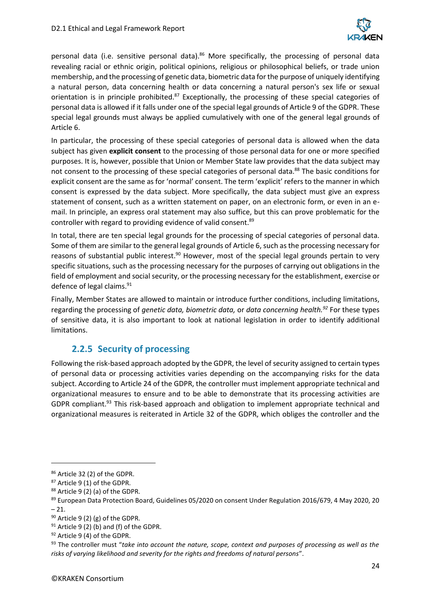

personal data (i.e. sensitive personal data).<sup>86</sup> More specifically, the processing of personal data revealing racial or ethnic origin, political opinions, religious or philosophical beliefs, or trade union membership, and the processing of genetic data, biometric data for the purpose of uniquely identifying a natural person, data concerning health or data concerning a natural person's sex life or sexual orientation is in principle prohibited.<sup>87</sup> Exceptionally, the processing of these special categories of personal data is allowed if it falls under one of the special legal grounds of Article 9 of the GDPR. These special legal grounds must always be applied cumulatively with one of the general legal grounds of Article 6.

In particular, the processing of these special categories of personal data is allowed when the data subject has given **explicit consent** to the processing of those personal data for one or more specified purposes. It is, however, possible that Union or Member State law provides that the data subject may not consent to the processing of these special categories of personal data.<sup>88</sup> The basic conditions for explicit consent are the same as for 'normal' consent. The term 'explicit' refers to the manner in which consent is expressed by the data subject. More specifically, the data subject must give an express statement of consent, such as a written statement on paper, on an electronic form, or even in an email. In principle, an express oral statement may also suffice, but this can prove problematic for the controller with regard to providing evidence of valid consent.<sup>89</sup>

In total, there are ten special legal grounds for the processing of special categories of personal data. Some of them are similar to the general legal grounds of Article 6, such as the processing necessary for reasons of substantial public interest.<sup>90</sup> However, most of the special legal grounds pertain to very specific situations, such as the processing necessary for the purposes of carrying out obligations in the field of employment and social security, or the processing necessary for the establishment, exercise or defence of legal claims.<sup>91</sup>

Finally, Member States are allowed to maintain or introduce further conditions, including limitations, regarding the processing of *genetic data, biometric data,* or *data concerning health.<sup>92</sup>* For these types of sensitive data, it is also important to look at national legislation in order to identify additional limitations.

## **2.2.5 Security of processing**

<span id="page-23-0"></span>Following the risk-based approach adopted by the GDPR, the level of security assigned to certain types of personal data or processing activities varies depending on the accompanying risks for the data subject. According to Article 24 of the GDPR, the controller must implement appropriate technical and organizational measures to ensure and to be able to demonstrate that its processing activities are GDPR compliant.<sup>93</sup> This risk-based approach and obligation to implement appropriate technical and organizational measures is reiterated in Article 32 of the GDPR, which obliges the controller and the

<sup>86</sup> Article 32 (2) of the GDPR.

<sup>87</sup> Article 9 (1) of the GDPR.

<sup>88</sup> Article 9 (2) (a) of the GDPR.

<sup>&</sup>lt;sup>89</sup> European Data Protection Board, Guidelines 05/2020 on consent Under Regulation 2016/679, 4 May 2020, 20  $-21.$ 

 $90$  Article 9 (2) (g) of the GDPR.

 $91$  Article 9 (2) (b) and (f) of the GDPR.

<sup>92</sup> Article 9 (4) of the GDPR.

<sup>93</sup> The controller must "*take into account the nature, scope, context and purposes of processing as well as the risks of varying likelihood and severity for the rights and freedoms of natural persons*".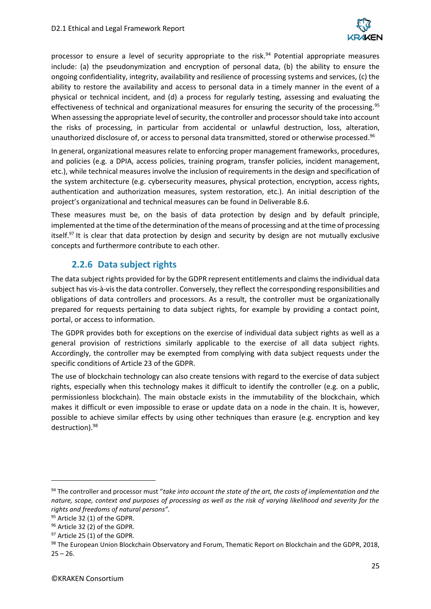

processor to ensure a level of security appropriate to the risk.<sup>94</sup> Potential appropriate measures include: (a) the pseudonymization and encryption of personal data, (b) the ability to ensure the ongoing confidentiality, integrity, availability and resilience of processing systems and services, (c) the ability to restore the availability and access to personal data in a timely manner in the event of a physical or technical incident, and (d) a process for regularly testing, assessing and evaluating the effectiveness of technical and organizational measures for ensuring the security of the processing.<sup>95</sup> When assessing the appropriate level of security, the controller and processor should take into account the risks of processing, in particular from accidental or unlawful destruction, loss, alteration, unauthorized disclosure of, or access to personal data transmitted, stored or otherwise processed.<sup>96</sup>

In general, organizational measures relate to enforcing proper management frameworks, procedures, and policies (e.g. a DPIA, access policies, training program, transfer policies, incident management, etc.), while technical measures involve the inclusion of requirements in the design and specification of the system architecture (e.g. cybersecurity measures, physical protection, encryption, access rights, authentication and authorization measures, system restoration, etc.). An initial description of the project's organizational and technical measures can be found in Deliverable 8.6.

These measures must be, on the basis of data protection by design and by default principle, implemented at the time of the determination of the means of processing and at the time of processing itself.<sup>97</sup> It is clear that data protection by design and security by design are not mutually exclusive concepts and furthermore contribute to each other.

## **2.2.6 Data subject rights**

<span id="page-24-0"></span>The data subject rights provided for by the GDPR represent entitlements and claims the individual data subject has vis-à-vis the data controller. Conversely, they reflect the corresponding responsibilities and obligations of data controllers and processors. As a result, the controller must be organizationally prepared for requests pertaining to data subject rights, for example by providing a contact point, portal, or access to information.

The GDPR provides both for exceptions on the exercise of individual data subject rights as well as a general provision of restrictions similarly applicable to the exercise of all data subject rights. Accordingly, the controller may be exempted from complying with data subject requests under the specific conditions of Article 23 of the GDPR.

The use of blockchain technology can also create tensions with regard to the exercise of data subject rights, especially when this technology makes it difficult to identify the controller (e.g. on a public, permissionless blockchain). The main obstacle exists in the immutability of the blockchain, which makes it difficult or even impossible to erase or update data on a node in the chain. It is, however, possible to achieve similar effects by using other techniques than erasure (e.g. encryption and key destruction).<sup>98</sup>

<sup>94</sup> The controller and processor must "*take into account the state of the art, the costs of implementation and the nature, scope, context and purposes of processing as well as the risk of varying likelihood and severity for the rights and freedoms of natural persons".*

<sup>95</sup> Article 32 (1) of the GDPR.

<sup>96</sup> Article 32 (2) of the GDPR.

<sup>97</sup> Article 25 (1) of the GDPR.

<sup>98</sup> The European Union Blockchain Observatory and Forum, Thematic Report on Blockchain and the GDPR, 2018,  $25 - 26.$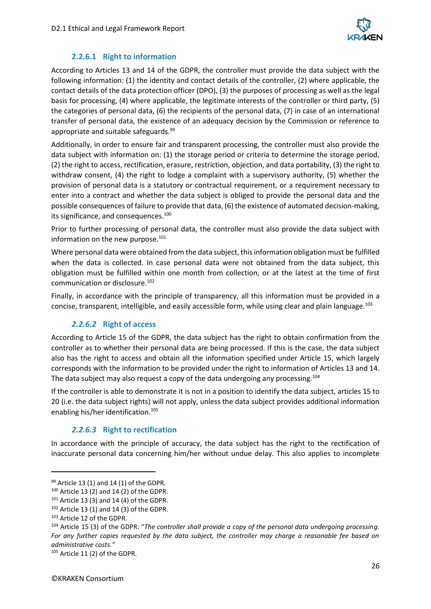

#### **2.2.6.1 Right to information**

According to Articles 13 and 14 of the GDPR, the controller must provide the data subject with the following information: (1) the identity and contact details of the controller, (2) where applicable, the contact details of the data protection officer (DPO), (3) the purposes of processing as well as the legal basis for processing, (4) where applicable, the legitimate interests of the controller or third party, (5) the categories of personal data, (6) the recipients of the personal data, (7) in case of an international transfer of personal data, the existence of an adequacy decision by the Commission or reference to appropriate and suitable safeguards.<sup>99</sup>

Additionally, in order to ensure fair and transparent processing, the controller must also provide the data subject with information on: (1) the storage period or criteria to determine the storage period, (2) the right to access, rectification, erasure, restriction, objection, and data portability, (3) the right to withdraw consent, (4) the right to lodge a complaint with a supervisory authority, (5) whether the provision of personal data is a statutory or contractual requirement, or a requirement necessary to enter into a contract and whether the data subject is obliged to provide the personal data and the possible consequences of failure to provide that data, (6) the existence of automated decision-making, its significance, and consequences.<sup>100</sup>

Prior to further processing of personal data, the controller must also provide the data subject with information on the new purpose.<sup>101</sup>

Where personal data were obtained from the data subject, this information obligation must be fulfilled when the data is collected. In case personal data were not obtained from the data subject, this obligation must be fulfilled within one month from collection, or at the latest at the time of first communication or disclosure.<sup>102</sup>

Finally, in accordance with the principle of transparency, all this information must be provided in a concise, transparent, intelligible, and easily accessible form, while using clear and plain language.<sup>103</sup>

#### *2.2.6.2* **Right of access**

According to Article 15 of the GDPR, the data subject has the right to obtain confirmation from the controller as to whether their personal data are being processed. If this is the case, the data subject also has the right to access and obtain all the information specified under Article 15, which largely corresponds with the information to be provided under the right to information of Articles 13 and 14. The data subject may also request a copy of the data undergoing any processing.<sup>104</sup>

If the controller is able to demonstrate it is not in a position to identify the data subject, articles 15 to 20 (i.e. the data subject rights) will not apply, unless the data subject provides additional information enabling his/her identification.<sup>105</sup>

#### *2.2.6.3* **Right to rectification**

In accordance with the principle of accuracy, the data subject has the right to the rectification of inaccurate personal data concerning him/her without undue delay. This also applies to incomplete

 $99$  Article 13 (1) and 14 (1) of the GDPR.

 $100$  Article 13 (2) and 14 (2) of the GDPR.

 $101$  Article 13 (3) and 14 (4) of the GDPR.

 $102$  Article 13 (1) and 14 (3) of the GDPR.

<sup>103</sup> Article 12 of the GDPR.

<sup>104</sup> Article 15 (3) of the GDPR: "*The controller shall provide a copy of the personal data undergoing processing. For any further copies requested by the data subject, the controller may charge a reasonable fee based on administrative costs."*

<sup>105</sup> Article 11 (2) of the GDPR.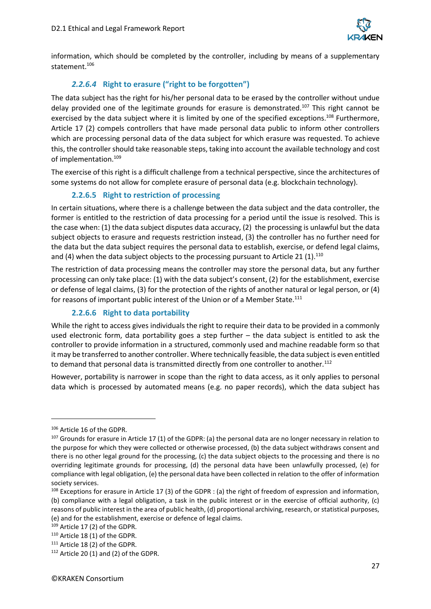

information, which should be completed by the controller, including by means of a supplementary statement.<sup>106</sup>

## *2.2.6.4* **Right to erasure ("right to be forgotten")**

The data subject has the right for his/her personal data to be erased by the controller without undue delay provided one of the legitimate grounds for erasure is demonstrated.<sup>107</sup> This right cannot be exercised by the data subject where it is limited by one of the specified exceptions.<sup>108</sup> Furthermore, Article 17 (2) compels controllers that have made personal data public to inform other controllers which are processing personal data of the data subject for which erasure was requested. To achieve this, the controller should take reasonable steps, taking into account the available technology and cost of implementation.<sup>109</sup>

The exercise of this right is a difficult challenge from a technical perspective, since the architectures of some systems do not allow for complete erasure of personal data (e.g. blockchain technology).

### **2.2.6.5 Right to restriction of processing**

In certain situations, where there is a challenge between the data subject and the data controller, the former is entitled to the restriction of data processing for a period until the issue is resolved. This is the case when: (1) the data subject disputes data accuracy, (2) the processing is unlawful but the data subject objects to erasure and requests restriction instead, (3) the controller has no further need for the data but the data subject requires the personal data to establish, exercise, or defend legal claims, and (4) when the data subject objects to the processing pursuant to Article 21  $(1).^{110}$ 

The restriction of data processing means the controller may store the personal data, but any further processing can only take place: (1) with the data subject's consent, (2) for the establishment, exercise or defense of legal claims, (3) for the protection of the rights of another natural or legal person, or (4) for reasons of important public interest of the Union or of a Member State.<sup>111</sup>

## **2.2.6.6 Right to data portability**

While the right to access gives individuals the right to require their data to be provided in a commonly used electronic form, data portability goes a step further – the data subject is entitled to ask the controller to provide information in a structured, commonly used and machine readable form so that it may be transferred to another controller. Where technically feasible, the data subject is even entitled to demand that personal data is transmitted directly from one controller to another.<sup>112</sup>

However, portability is narrower in scope than the right to data access, as it only applies to personal data which is processed by automated means (e.g. no paper records), which the data subject has

<sup>106</sup> Article 16 of the GDPR.

 $107$  Grounds for erasure in Article 17 (1) of the GDPR: (a) the personal data are no longer necessary in relation to the purpose for which they were collected or otherwise processed, (b) the data subject withdraws consent and there is no other legal ground for the processing, (c) the data subject objects to the processing and there is no overriding legitimate grounds for processing, (d) the personal data have been unlawfully processed, (e) for compliance with legal obligation, (e) the personal data have been collected in relation to the offer of information society services.

<sup>&</sup>lt;sup>108</sup> Exceptions for erasure in Article 17 (3) of the GDPR : (a) the right of freedom of expression and information, (b) compliance with a legal obligation, a task in the public interest or in the exercise of official authority, (c) reasons of public interest in the area of public health, (d) proportional archiving, research, or statistical purposes, (e) and for the establishment, exercise or defence of legal claims.

<sup>109</sup> Article 17 (2) of the GDPR.

<sup>110</sup> Article 18 (1) of the GDPR.

<sup>111</sup> Article 18 (2) of the GDPR.

 $112$  Article 20 (1) and (2) of the GDPR.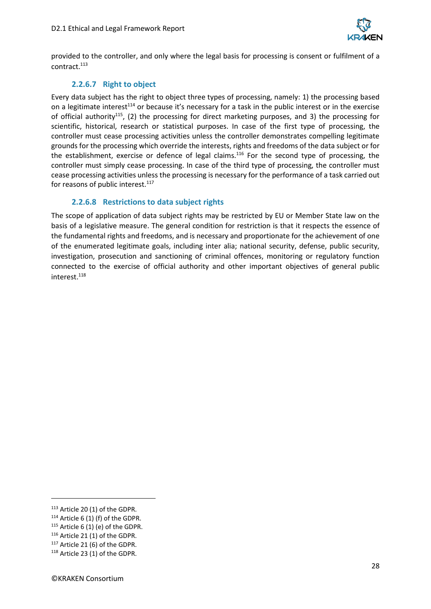

provided to the controller, and only where the legal basis for processing is consent or fulfilment of a contract.<sup>113</sup>

#### **2.2.6.7 Right to object**

Every data subject has the right to object three types of processing, namely: 1) the processing based on a legitimate interest<sup>114</sup> or because it's necessary for a task in the public interest or in the exercise of official authority<sup>115</sup>, (2) the processing for direct marketing purposes, and 3) the processing for scientific, historical, research or statistical purposes. In case of the first type of processing, the controller must cease processing activities unless the controller demonstrates compelling legitimate grounds for the processing which override the interests, rights and freedoms of the data subject or for the establishment, exercise or defence of legal claims.<sup>116</sup> For the second type of processing, the controller must simply cease processing. In case of the third type of processing, the controller must cease processing activities unless the processing is necessary for the performance of a task carried out for reasons of public interest.<sup>117</sup>

#### **2.2.6.8 Restrictions to data subject rights**

The scope of application of data subject rights may be restricted by EU or Member State law on the basis of a legislative measure. The general condition for restriction is that it respects the essence of the fundamental rights and freedoms, and is necessary and proportionate for the achievement of one of the enumerated legitimate goals, including inter alia; national security, defense, public security, investigation, prosecution and sanctioning of criminal offences, monitoring or regulatory function connected to the exercise of official authority and other important objectives of general public interest.<sup>118</sup>

<sup>113</sup> Article 20 (1) of the GDPR.

 $114$  Article 6 (1) (f) of the GDPR.

 $115$  Article 6 (1) (e) of the GDPR.

<sup>116</sup> Article 21 (1) of the GDPR.

 $117$  Article 21 (6) of the GDPR.

<sup>118</sup> Article 23 (1) of the GDPR.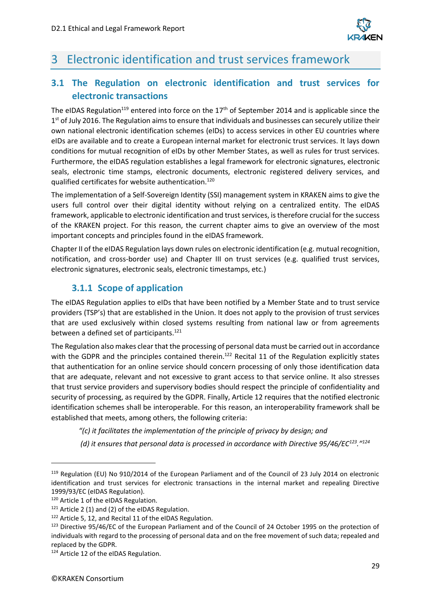

## <span id="page-28-0"></span>3 Electronic identification and trust services framework

## <span id="page-28-1"></span>**3.1 The Regulation on electronic identification and trust services for electronic transactions**

The eIDAS Regulation<sup>119</sup> entered into force on the 17<sup>th</sup> of September 2014 and is applicable since the 1<sup>st</sup> of July 2016. The Regulation aims to ensure that individuals and businesses can securely utilize their own national electronic identification schemes (eIDs) to access services in other EU countries where eIDs are available and to create a European internal market for electronic trust services. It lays down conditions for mutual recognition of eIDs by other Member States, as well as rules for trust services. Furthermore, the eIDAS regulation establishes a legal framework for electronic signatures, electronic seals, electronic time stamps, electronic documents, electronic registered delivery services, and qualified certificates for website authentication. 120

The implementation of a Self-Sovereign Identity (SSI) management system in KRAKEN aims to give the users full control over their digital identity without relying on a centralized entity. The eIDAS framework, applicable to electronic identification and trust services, is therefore crucial for the success of the KRAKEN project. For this reason, the current chapter aims to give an overview of the most important concepts and principles found in the eIDAS framework.

Chapter II of the eIDAS Regulation lays down rules on electronic identification (e.g. mutual recognition, notification, and cross-border use) and Chapter III on trust services (e.g. qualified trust services, electronic signatures, electronic seals, electronic timestamps, etc.)

## **3.1.1 Scope of application**

<span id="page-28-2"></span>The eIDAS Regulation applies to eIDs that have been notified by a Member State and to trust service providers (TSP's) that are established in the Union. It does not apply to the provision of trust services that are used exclusively within closed systems resulting from national law or from agreements between a defined set of participants.<sup>121</sup>

The Regulation also makes clear that the processing of personal data must be carried out in accordance with the GDPR and the principles contained therein.<sup>122</sup> Recital 11 of the Regulation explicitly states that authentication for an online service should concern processing of only those identification data that are adequate, relevant and not excessive to grant access to that service online. It also stresses that trust service providers and supervisory bodies should respect the principle of confidentiality and security of processing, as required by the GDPR. Finally, Article 12 requires that the notified electronic identification schemes shall be interoperable. For this reason, an interoperability framework shall be established that meets, among others, the following criteria:

- *"(c) it facilitates the implementation of the principle of privacy by design; and*
- *(d) it ensures that personal data is processed in accordance with Directive 95/46/EC<sup>123</sup>."<sup>124</sup>*

<sup>119</sup> Regulation (EU) No 910/2014 of the European Parliament and of the Council of 23 July 2014 on electronic identification and trust services for electronic transactions in the internal market and repealing Directive 1999/93/EC (eIDAS Regulation).

<sup>&</sup>lt;sup>120</sup> Article 1 of the eIDAS Regulation.

<sup>&</sup>lt;sup>121</sup> Article 2 (1) and (2) of the eIDAS Regulation.

<sup>122</sup> Article 5, 12, and Recital 11 of the eIDAS Regulation.

<sup>123</sup> Directive 95/46/EC of the European Parliament and of the Council of 24 October 1995 on the protection of individuals with regard to the processing of personal data and on the free movement of such data; repealed and replaced by the GDPR.

<sup>124</sup> Article 12 of the eIDAS Regulation.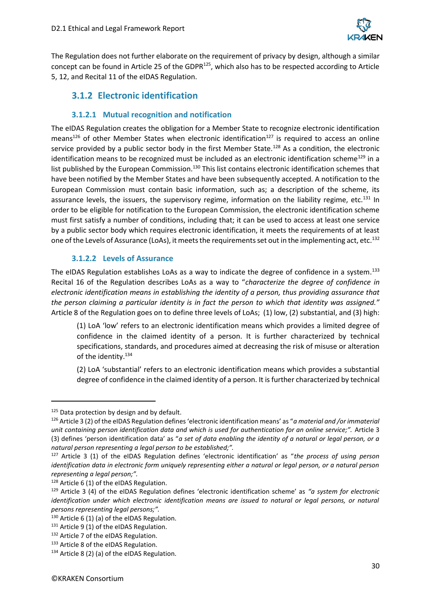

The Regulation does not further elaborate on the requirement of privacy by design, although a similar concept can be found in Article 25 of the GDPR<sup>125</sup>, which also has to be respected according to Article 5, 12, and Recital 11 of the eIDAS Regulation.

## <span id="page-29-0"></span>**3.1.2 Electronic identification**

#### **3.1.2.1 Mutual recognition and notification**

The eIDAS Regulation creates the obligation for a Member State to recognize electronic identification means<sup>126</sup> of other Member States when electronic identification<sup>127</sup> is required to access an online service provided by a public sector body in the first Member State.<sup>128</sup> As a condition, the electronic identification means to be recognized must be included as an electronic identification scheme<sup>129</sup> in a list published by the European Commission.<sup>130</sup> This list contains electronic identification schemes that have been notified by the Member States and have been subsequently accepted. A notification to the European Commission must contain basic information, such as; a description of the scheme, its assurance levels, the issuers, the supervisory regime, information on the liability regime, etc. $^{131}$  In order to be eligible for notification to the European Commission, the electronic identification scheme must first satisfy a number of conditions, including that; it can be used to access at least one service by a public sector body which requires electronic identification, it meets the requirements of at least one of the Levels of Assurance (LoAs), it meets the requirements set out in the implementing act, etc.<sup>132</sup>

#### **3.1.2.2 Levels of Assurance**

The eIDAS Regulation establishes LoAs as a way to indicate the degree of confidence in a system.<sup>133</sup> Recital 16 of the Regulation describes LoAs as a way to "*characterize the degree of confidence in electronic identification means in establishing the identity of a person, thus providing assurance that the person claiming a particular identity is in fact the person to which that identity was assigned."* Article 8 of the Regulation goes on to define three levels of LoAs; (1) low, (2) substantial, and (3) high:

(1) LoA 'low' refers to an electronic identification means which provides a limited degree of confidence in the claimed identity of a person. It is further characterized by technical specifications, standards, and procedures aimed at decreasing the risk of misuse or alteration of the identity.<sup>134</sup>

(2) LoA 'substantial' refers to an electronic identification means which provides a substantial degree of confidence in the claimed identity of a person. It is further characterized by technical

<sup>&</sup>lt;sup>125</sup> Data protection by design and by default.

<sup>126</sup> Article 3 (2) of the eIDAS Regulation defines 'electronic identification means' as "*a material and /or immaterial unit containing person identification data and which is used for authentication for an online service;".* Article 3 (3) defines 'person identification data' as "*a set of data enabling the identity of a natural or legal person, or a natural person representing a legal person to be established;".*

<sup>127</sup> Article 3 (1) of the eIDAS Regulation defines 'electronic identification' as "*the process of using person identification data in electronic form uniquely representing either a natural or legal person, or a natural person representing a legal person;".*

<sup>128</sup> Article 6 (1) of the eIDAS Regulation.

<sup>129</sup> Article 3 (4) of the eIDAS Regulation defines 'electronic identification scheme' as *"a system for electronic identification under which electronic identification means are issued to natural or legal persons, or natural persons representing legal persons;".*

<sup>130</sup> Article 6 (1) (a) of the eIDAS Regulation.

<sup>131</sup> Article 9 (1) of the eIDAS Regulation.

<sup>132</sup> Article 7 of the eIDAS Regulation.

<sup>133</sup> Article 8 of the eIDAS Regulation.

<sup>134</sup> Article 8 (2) (a) of the eIDAS Regulation.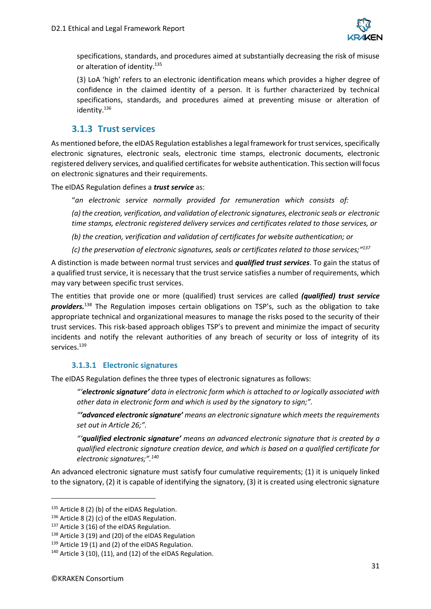

specifications, standards, and procedures aimed at substantially decreasing the risk of misuse or alteration of identity.<sup>135</sup>

(3) LoA 'high' refers to an electronic identification means which provides a higher degree of confidence in the claimed identity of a person. It is further characterized by technical specifications, standards, and procedures aimed at preventing misuse or alteration of identity.<sup>136</sup>

### **3.1.3 Trust services**

<span id="page-30-0"></span>As mentioned before, the eIDAS Regulation establishes a legal framework for trust services, specifically electronic signatures, electronic seals, electronic time stamps, electronic documents, electronic registered delivery services, and qualified certificates for website authentication. Thissection will focus on electronic signatures and their requirements.

The eIDAS Regulation defines a *trust service* as:

"*an electronic service normally provided for remuneration which consists of:*

*(a) the creation, verification, and validation of electronic signatures, electronic seals or electronic time stamps, electronic registered delivery services and certificates related to those services, or*

*(b) the creation, verification and validation of certificates for website authentication; or*

*(c) the preservation of electronic signatures, seals or certificates related to those services;" 137*

A distinction is made between normal trust services and *qualified trust services*. To gain the status of a qualified trust service, it is necessary that the trust service satisfies a number of requirements, which may vary between specific trust services.

The entities that provide one or more (qualified) trust services are called *(qualified) trust service providers.* <sup>138</sup> The Regulation imposes certain obligations on TSP's, such as the obligation to take appropriate technical and organizational measures to manage the risks posed to the security of their trust services. This risk-based approach obliges TSP's to prevent and minimize the impact of security incidents and notify the relevant authorities of any breach of security or loss of integrity of its services.<sup>139</sup>

#### **3.1.3.1 Electronic signatures**

The eIDAS Regulation defines the three types of electronic signatures as follows:

*"'electronic signature' data in electronic form which is attached to or logically associated with other data in electronic form and which is used by the signatory to sign;".* 

*"'advanced electronic signature' means an electronic signature which meets the requirements set out in Article 26;".*

*"'qualified electronic signature' means an advanced electronic signature that is created by a qualified electronic signature creation device, and which is based on a qualified certificate for electronic signatures;".<sup>140</sup>*

An advanced electronic signature must satisfy four cumulative requirements; (1) it is uniquely linked to the signatory, (2) it is capable of identifying the signatory, (3) it is created using electronic signature

<sup>135</sup> Article 8 (2) (b) of the eIDAS Regulation.

<sup>136</sup> Article 8 (2) (c) of the eIDAS Regulation.

<sup>137</sup> Article 3 (16) of the eIDAS Regulation.

<sup>138</sup> Article 3 (19) and (20) of the eIDAS Regulation

 $139$  Article 19 (1) and (2) of the eIDAS Regulation.

<sup>140</sup> Article 3 (10), (11), and (12) of the eIDAS Regulation.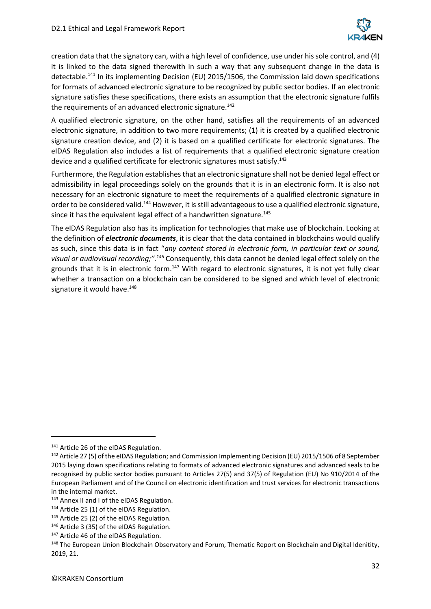

creation data that the signatory can, with a high level of confidence, use under hissole control, and (4) it is linked to the data signed therewith in such a way that any subsequent change in the data is detectable.<sup>141</sup> In its implementing Decision (EU) 2015/1506, the Commission laid down specifications for formats of advanced electronic signature to be recognized by public sector bodies. If an electronic signature satisfies these specifications, there exists an assumption that the electronic signature fulfils the requirements of an advanced electronic signature.<sup>142</sup>

A qualified electronic signature, on the other hand, satisfies all the requirements of an advanced electronic signature, in addition to two more requirements; (1) it is created by a qualified electronic signature creation device, and (2) it is based on a qualified certificate for electronic signatures. The eIDAS Regulation also includes a list of requirements that a qualified electronic signature creation device and a qualified certificate for electronic signatures must satisfy.<sup>143</sup>

Furthermore, the Regulation establishes that an electronic signature shall not be denied legal effect or admissibility in legal proceedings solely on the grounds that it is in an electronic form. It is also not necessary for an electronic signature to meet the requirements of a qualified electronic signature in order to be considered valid.<sup>144</sup> However, it is still advantageous to use a qualified electronic signature, since it has the equivalent legal effect of a handwritten signature.<sup>145</sup>

The eIDAS Regulation also has its implication for technologies that make use of blockchain. Looking at the definition of *electronic documents*, it is clear that the data contained in blockchains would qualify as such, since this data is in fact "*any content stored in electronic form, in particular text or sound, visual or audiovisual recording;".<sup>146</sup>* Consequently, this data cannot be denied legal effect solely on the grounds that it is in electronic form.<sup>147</sup> With regard to electronic signatures, it is not yet fully clear whether a transaction on a blockchain can be considered to be signed and which level of electronic signature it would have.<sup>148</sup>

<sup>141</sup> Article 26 of the eIDAS Regulation.

<sup>&</sup>lt;sup>142</sup> Article 27 (5) of the eIDAS Regulation; and Commission Implementing Decision (EU) 2015/1506 of 8 September 2015 laying down specifications relating to formats of advanced electronic signatures and advanced seals to be recognised by public sector bodies pursuant to Articles 27(5) and 37(5) of Regulation (EU) No 910/2014 of the European Parliament and of the Council on electronic identification and trust services for electronic transactions in the internal market.

<sup>143</sup> Annex II and I of the eIDAS Regulation.

<sup>144</sup> Article 25 (1) of the eIDAS Regulation.

<sup>145</sup> Article 25 (2) of the eIDAS Regulation.

<sup>146</sup> Article 3 (35) of the eIDAS Regulation.

<sup>&</sup>lt;sup>147</sup> Article 46 of the eIDAS Regulation.

<sup>&</sup>lt;sup>148</sup> The European Union Blockchain Observatory and Forum, Thematic Report on Blockchain and Digital Idenitity, 2019, 21.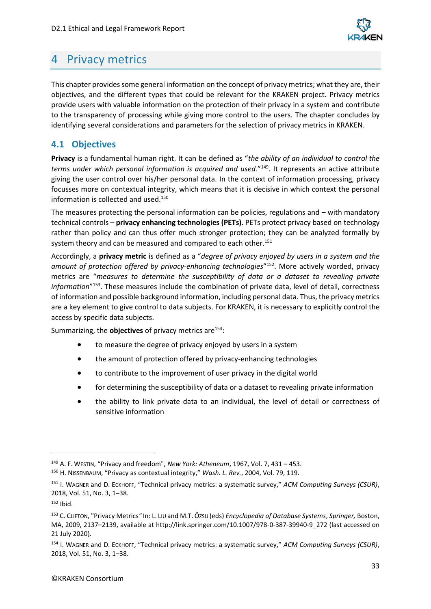

## <span id="page-32-0"></span>4 Privacy metrics

This chapter provides some general information on the concept of privacy metrics; what they are, their objectives, and the different types that could be relevant for the KRAKEN project. Privacy metrics provide users with valuable information on the protection of their privacy in a system and contribute to the transparency of processing while giving more control to the users. The chapter concludes by identifying several considerations and parameters for the selection of privacy metrics in KRAKEN.

## <span id="page-32-1"></span>**4.1 Objectives**

**Privacy** is a fundamental human right. It can be defined as "*the ability of an individual to control the terms under which personal information is acquired and used.*" 149 . It represents an active attribute giving the user control over his/her personal data. In the context of information processing, privacy focusses more on contextual integrity, which means that it is decisive in which context the personal information is collected and used.<sup>150</sup>

The measures protecting the personal information can be policies, regulations and – with mandatory technical controls – **privacy enhancing technologies (PETs)**. PETs protect privacy based on technology rather than policy and can thus offer much stronger protection; they can be analyzed formally by system theory and can be measured and compared to each other.<sup>151</sup>

Accordingly, a **privacy metric** is defined as a "*degree of privacy enjoyed by users in a system and the amount of protection offered by privacy-enhancing technologies*" <sup>152</sup>. More actively worded, privacy metrics are "*measures to determine the susceptibility of data or a dataset to revealing private information*" <sup>153</sup>. These measures include the combination of private data, level of detail, correctness of information and possible background information, including personal data. Thus, the privacy metrics are a key element to give control to data subjects. For KRAKEN, it is necessary to explicitly control the access by specific data subjects.

Summarizing, the **objectives** of privacy metrics are<sup>154</sup>:

- to measure the degree of privacy enjoyed by users in a system
- the amount of protection offered by privacy-enhancing technologies
- to contribute to the improvement of user privacy in the digital world
- for determining the susceptibility of data or a dataset to revealing private information
- the ability to link private data to an individual, the level of detail or correctness of sensitive information

<sup>149</sup> A. F. WESTIN, "Privacy and freedom", *New York: Atheneum*, 1967, Vol. 7, 431 – 453.

<sup>150</sup> H. NISSENBAUM, "Privacy as contextual integrity," *Wash. L. Rev.*, 2004, Vol. 79, 119.

<sup>151</sup> I. WAGNER and D. ECKHOFF, "Technical privacy metrics: a systematic survey," *ACM Computing Surveys (CSUR)*, 2018, Vol. 51, No. 3, 1–38.

<sup>152</sup> Ihid.

<sup>153</sup> C. CLIFTON, "Privacy Metrics*"* In: L. LIU and M.T. ÖZSU (eds) *Encyclopedia of Database Systems*, *Springer,* Boston, MA, 2009, 2137–2139, available at http://link.springer.com/10.1007/978-0-387-39940-9\_272 (last accessed on 21 July 2020).

<sup>154</sup> I. WAGNER and D. ECKHOFF, "Technical privacy metrics: a systematic survey," *ACM Computing Surveys (CSUR)*, 2018, Vol. 51, No. 3, 1–38.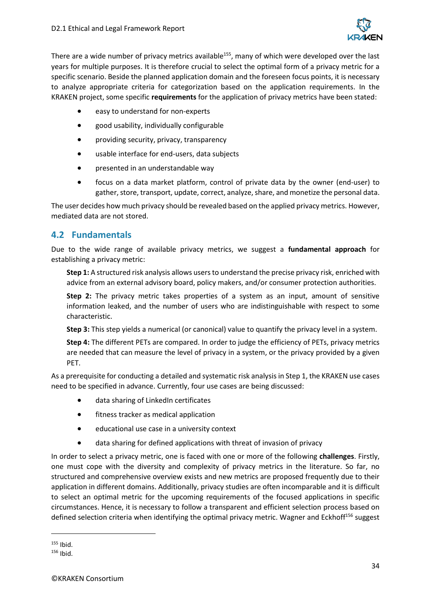

There are a wide number of privacy metrics available<sup>155</sup>, many of which were developed over the last years for multiple purposes. It is therefore crucial to select the optimal form of a privacy metric for a specific scenario. Beside the planned application domain and the foreseen focus points, it is necessary to analyze appropriate criteria for categorization based on the application requirements. In the KRAKEN project, some specific **requirements** for the application of privacy metrics have been stated:

- easy to understand for non-experts
- good usability, individually configurable
- providing security, privacy, transparency
- usable interface for end-users, data subjects
- presented in an understandable way
- focus on a data market platform, control of private data by the owner (end-user) to gather, store, transport, update, correct, analyze, share, and monetize the personal data.

The user decides how much privacy should be revealed based on the applied privacy metrics. However, mediated data are not stored.

## <span id="page-33-0"></span>**4.2 Fundamentals**

Due to the wide range of available privacy metrics, we suggest a **fundamental approach** for establishing a privacy metric:

**Step 1:** A structured risk analysis allows users to understand the precise privacy risk, enriched with advice from an external advisory board, policy makers, and/or consumer protection authorities.

**Step 2:** The privacy metric takes properties of a system as an input, amount of sensitive information leaked, and the number of users who are indistinguishable with respect to some characteristic.

**Step 3:** This step yields a numerical (or canonical) value to quantify the privacy level in a system.

**Step 4:** The different PETs are compared. In order to judge the efficiency of PETs, privacy metrics are needed that can measure the level of privacy in a system, or the privacy provided by a given PET.

As a prerequisite for conducting a detailed and systematic risk analysis in Step 1, the KRAKEN use cases need to be specified in advance. Currently, four use cases are being discussed:

- data sharing of LinkedIn certificates
- fitness tracker as medical application
- educational use case in a university context
- data sharing for defined applications with threat of invasion of privacy

In order to select a privacy metric, one is faced with one or more of the following **challenges**. Firstly, one must cope with the diversity and complexity of privacy metrics in the literature. So far, no structured and comprehensive overview exists and new metrics are proposed frequently due to their application in different domains. Additionally, privacy studies are often incomparable and it is difficult to select an optimal metric for the upcoming requirements of the focused applications in specific circumstances. Hence, it is necessary to follow a transparent and efficient selection process based on defined selection criteria when identifying the optimal privacy metric. Wagner and Eckhoff<sup>156</sup> suggest

 $155$  Ibid.

 $156$  Ibid.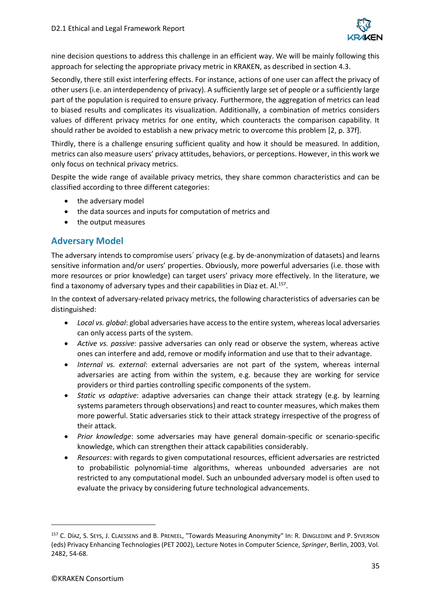

nine decision questions to address this challenge in an efficient way. We will be mainly following this approach for selecting the appropriate privacy metric in KRAKEN, as described in section 4.3.

Secondly, there still exist interfering effects. For instance, actions of one user can affect the privacy of other users (i.e. an interdependency of privacy). A sufficiently large set of people or a sufficiently large part of the population is required to ensure privacy. Furthermore, the aggregation of metrics can lead to biased results and complicates its visualization. Additionally, a combination of metrics considers values of different privacy metrics for one entity, which counteracts the comparison capability. It should rather be avoided to establish a new privacy metric to overcome this problem [2, p. 37f].

Thirdly, there is a challenge ensuring sufficient quality and how it should be measured. In addition, metrics can also measure users' privacy attitudes, behaviors, or perceptions. However, in this work we only focus on technical privacy metrics.

Despite the wide range of available privacy metrics, they share common characteristics and can be classified according to three different categories:

- the adversary model
- the data sources and inputs for computation of metrics and
- the output measures

## <span id="page-34-0"></span>**Adversary Model**

The adversary intends to compromise users´ privacy (e.g. by de-anonymization of datasets) and learns sensitive information and/or users' properties. Obviously, more powerful adversaries (i.e. those with more resources or prior knowledge) can target users' privacy more effectively. In the literature, we find a taxonomy of adversary types and their capabilities in Diaz et. Al.<sup>157</sup>.

In the context of adversary-related privacy metrics, the following characteristics of adversaries can be distinguished:

- *Local vs. global*: global adversaries have access to the entire system, whereas local adversaries can only access parts of the system.
- *Active vs. passive*: passive adversaries can only read or observe the system, whereas active ones can interfere and add, remove or modify information and use that to their advantage.
- *Internal vs. external*: external adversaries are not part of the system, whereas internal adversaries are acting from within the system, e.g. because they are working for service providers or third parties controlling specific components of the system.
- *Static vs adaptive*: adaptive adversaries can change their attack strategy (e.g. by learning systems parameters through observations) and react to counter measures, which makes them more powerful. Static adversaries stick to their attack strategy irrespective of the progress of their attack.
- *Prior knowledge*: some adversaries may have general domain-specific or scenario-specific knowledge, which can strengthen their attack capabilities considerably.
- *Resources*: with regards to given computational resources, efficient adversaries are restricted to probabilistic polynomial-time algorithms, whereas unbounded adversaries are not restricted to any computational model. Such an unbounded adversary model is often used to evaluate the privacy by considering future technological advancements.

<sup>157</sup> C. DÍAZ, S. SEYS, J. CLAESSENS and B. PRENEEL, "Towards Measuring Anonymity" In: R. DINGLEDINE and P. SYVERSON (eds) Privacy Enhancing Technologies (PET 2002), Lecture Notes in Computer Science, *Springer*, Berlin, 2003, Vol. 2482, 54-68.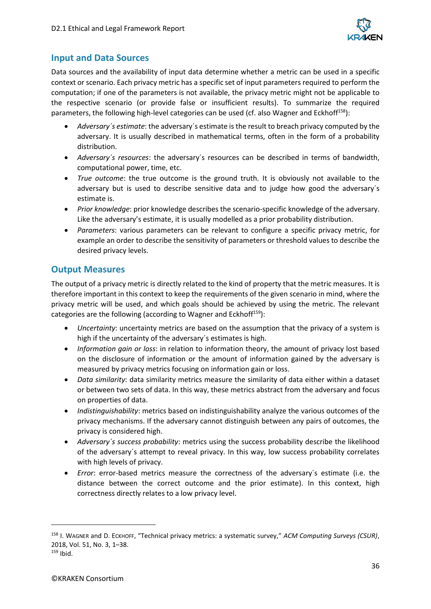

### <span id="page-35-0"></span>**Input and Data Sources**

Data sources and the availability of input data determine whether a metric can be used in a specific context or scenario. Each privacy metric has a specific set of input parameters required to perform the computation; if one of the parameters is not available, the privacy metric might not be applicable to the respective scenario (or provide false or insufficient results). To summarize the required parameters, the following high-level categories can be used (cf. also Wagner and Eckhoff<sup>158</sup>):

- *Adversary´s estimate*: the adversary´s estimate is the result to breach privacy computed by the adversary. It is usually described in mathematical terms, often in the form of a probability distribution.
- *Adversary´s resources*: the adversary´s resources can be described in terms of bandwidth, computational power, time, etc.
- *True outcome*: the true outcome is the ground truth. It is obviously not available to the adversary but is used to describe sensitive data and to judge how good the adversary´s estimate is.
- *Prior knowledge*: prior knowledge describes the scenario-specific knowledge of the adversary. Like the adversary's estimate, it is usually modelled as a prior probability distribution.
- *Parameters*: various parameters can be relevant to configure a specific privacy metric, for example an order to describe the sensitivity of parameters or threshold values to describe the desired privacy levels.

### <span id="page-35-1"></span>**Output Measures**

The output of a privacy metric is directly related to the kind of property that the metric measures. It is therefore important in this context to keep the requirements of the given scenario in mind, where the privacy metric will be used, and which goals should be achieved by using the metric. The relevant categories are the following (according to Wagner and Eckhoff $159$ ):

- *Uncertainty*: uncertainty metrics are based on the assumption that the privacy of a system is high if the uncertainty of the adversary´s estimates is high.
- *Information gain or loss*: in relation to information theory, the amount of privacy lost based on the disclosure of information or the amount of information gained by the adversary is measured by privacy metrics focusing on information gain or loss.
- *Data similarity*: data similarity metrics measure the similarity of data either within a dataset or between two sets of data. In this way, these metrics abstract from the adversary and focus on properties of data.
- *Indistinguishability*: metrics based on indistinguishability analyze the various outcomes of the privacy mechanisms. If the adversary cannot distinguish between any pairs of outcomes, the privacy is considered high.
- *Adversary´s success probability*: metrics using the success probability describe the likelihood of the adversary´s attempt to reveal privacy. In this way, low success probability correlates with high levels of privacy.
- *Error*: error-based metrics measure the correctness of the adversary´s estimate (i.e. the distance between the correct outcome and the prior estimate). In this context, high correctness directly relates to a low privacy level.

<sup>158</sup> I. WAGNER and D. ECKHOFF, "Technical privacy metrics: a systematic survey," *ACM Computing Surveys (CSUR)*, 2018, Vol. 51, No. 3, 1–38.

 $159$  Ibid.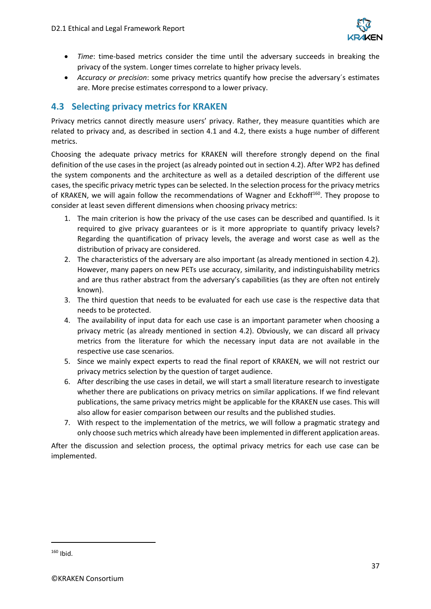

- *Time*: time-based metrics consider the time until the adversary succeeds in breaking the privacy of the system. Longer times correlate to higher privacy levels.
- *Accuracy or precision*: some privacy metrics quantify how precise the adversary´s estimates are. More precise estimates correspond to a lower privacy.

## <span id="page-36-0"></span>**4.3 Selecting privacy metrics for KRAKEN**

Privacy metrics cannot directly measure users' privacy. Rather, they measure quantities which are related to privacy and, as described in section 4.1 and 4.2, there exists a huge number of different metrics.

Choosing the adequate privacy metrics for KRAKEN will therefore strongly depend on the final definition of the use cases in the project (as already pointed out in section [4.2\)](#page-33-0). After WP2 has defined the system components and the architecture as well as a detailed description of the different use cases, the specific privacy metric types can be selected. In the selection process for the privacy metrics of KRAKEN, we will again follow the recommendations of Wagner and Eckhoff<sup>160</sup>. They propose to consider at least seven different dimensions when choosing privacy metrics:

- 1. The main criterion is how the privacy of the use cases can be described and quantified. Is it required to give privacy guarantees or is it more appropriate to quantify privacy levels? Regarding the quantification of privacy levels, the average and worst case as well as the distribution of privacy are considered.
- 2. The characteristics of the adversary are also important (as already mentioned in section [4.2\)](#page-33-0). However, many papers on new PETs use accuracy, similarity, and indistinguishability metrics and are thus rather abstract from the adversary's capabilities (as they are often not entirely known).
- 3. The third question that needs to be evaluated for each use case is the respective data that needs to be protected.
- 4. The availability of input data for each use case is an important parameter when choosing a privacy metric (as already mentioned in section [4.2\)](#page-33-0). Obviously, we can discard all privacy metrics from the literature for which the necessary input data are not available in the respective use case scenarios.
- 5. Since we mainly expect experts to read the final report of KRAKEN, we will not restrict our privacy metrics selection by the question of target audience.
- 6. After describing the use cases in detail, we will start a small literature research to investigate whether there are publications on privacy metrics on similar applications. If we find relevant publications, the same privacy metrics might be applicable for the KRAKEN use cases. This will also allow for easier comparison between our results and the published studies.
- 7. With respect to the implementation of the metrics, we will follow a pragmatic strategy and only choose such metrics which already have been implemented in different application areas.

After the discussion and selection process, the optimal privacy metrics for each use case can be implemented.

 $160$  Ibid.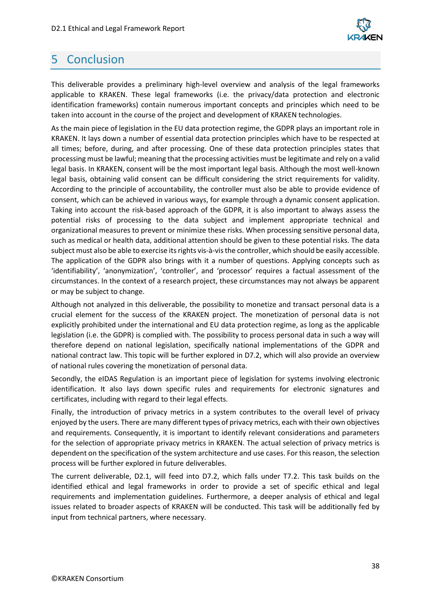

## <span id="page-37-0"></span>5 Conclusion

This deliverable provides a preliminary high-level overview and analysis of the legal frameworks applicable to KRAKEN. These legal frameworks (i.e. the privacy/data protection and electronic identification frameworks) contain numerous important concepts and principles which need to be taken into account in the course of the project and development of KRAKEN technologies.

As the main piece of legislation in the EU data protection regime, the GDPR plays an important role in KRAKEN. It lays down a number of essential data protection principles which have to be respected at all times; before, during, and after processing. One of these data protection principles states that processing must be lawful; meaning that the processing activities must be legitimate and rely on a valid legal basis. In KRAKEN, consent will be the most important legal basis. Although the most well-known legal basis, obtaining valid consent can be difficult considering the strict requirements for validity. According to the principle of accountability, the controller must also be able to provide evidence of consent, which can be achieved in various ways, for example through a dynamic consent application. Taking into account the risk-based approach of the GDPR, it is also important to always assess the potential risks of processing to the data subject and implement appropriate technical and organizational measures to prevent or minimize these risks. When processing sensitive personal data, such as medical or health data, additional attention should be given to these potential risks. The data subject must also be able to exercise its rights vis-à-vis the controller, which should be easily accessible. The application of the GDPR also brings with it a number of questions. Applying concepts such as 'identifiability', 'anonymization', 'controller', and 'processor' requires a factual assessment of the circumstances. In the context of a research project, these circumstances may not always be apparent or may be subject to change.

Although not analyzed in this deliverable, the possibility to monetize and transact personal data is a crucial element for the success of the KRAKEN project. The monetization of personal data is not explicitly prohibited under the international and EU data protection regime, as long as the applicable legislation (i.e. the GDPR) is complied with. The possibility to process personal data in such a way will therefore depend on national legislation, specifically national implementations of the GDPR and national contract law. This topic will be further explored in D7.2, which will also provide an overview of national rules covering the monetization of personal data.

Secondly, the eIDAS Regulation is an important piece of legislation for systems involving electronic identification. It also lays down specific rules and requirements for electronic signatures and certificates, including with regard to their legal effects.

Finally, the introduction of privacy metrics in a system contributes to the overall level of privacy enjoyed by the users. There are many different types of privacy metrics, each with their own objectives and requirements. Consequently, it is important to identify relevant considerations and parameters for the selection of appropriate privacy metrics in KRAKEN. The actual selection of privacy metrics is dependent on the specification of the system architecture and use cases. For this reason, the selection process will be further explored in future deliverables.

The current deliverable, D2.1, will feed into D7.2, which falls under T7.2. This task builds on the identified ethical and legal frameworks in order to provide a set of specific ethical and legal requirements and implementation guidelines. Furthermore, a deeper analysis of ethical and legal issues related to broader aspects of KRAKEN will be conducted. This task will be additionally fed by input from technical partners, where necessary.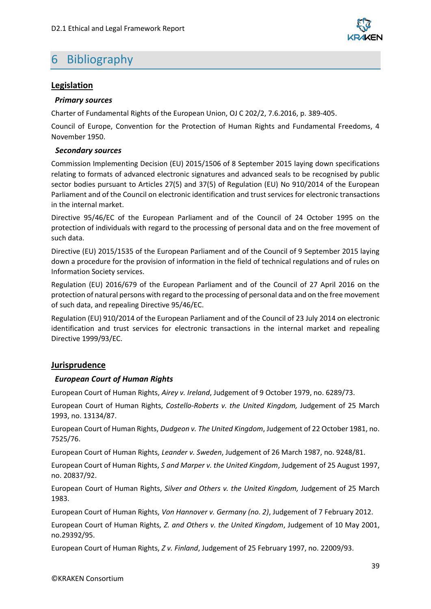

## <span id="page-38-0"></span>6 Bibliography

#### **Legislation**

#### *Primary sources*

Charter of Fundamental Rights of the European Union, OJ C 202/2, 7.6.2016, p. 389-405.

Council of Europe, Convention for the Protection of Human Rights and Fundamental Freedoms, 4 November 1950.

#### *Secondary sources*

Commission Implementing Decision (EU) 2015/1506 of 8 September 2015 laying down specifications relating to formats of advanced electronic signatures and advanced seals to be recognised by public sector bodies pursuant to Articles 27(5) and 37(5) of Regulation (EU) No 910/2014 of the European Parliament and of the Council on electronic identification and trust services for electronic transactions in the internal market.

Directive 95/46/EC of the European Parliament and of the Council of 24 October 1995 on the protection of individuals with regard to the processing of personal data and on the free movement of such data.

Directive (EU) 2015/1535 of the European Parliament and of the Council of 9 September 2015 laying down a procedure for the provision of information in the field of technical regulations and of rules on Information Society services.

Regulation (EU) 2016/679 of the European Parliament and of the Council of 27 April 2016 on the protection of natural persons with regard to the processing of personal data and on the free movement of such data, and repealing Directive 95/46/EC.

Regulation (EU) 910/2014 of the European Parliament and of the Council of 23 July 2014 on electronic identification and trust services for electronic transactions in the internal market and repealing Directive 1999/93/EC.

#### **Jurisprudence**

#### *European Court of Human Rights*

European Court of Human Rights, *Airey v. Ireland*, Judgement of 9 October 1979, no. 6289/73.

European Court of Human Rights, *Costello-Roberts v. the United Kingdom,* Judgement of 25 March 1993, no. 13134/87.

European Court of Human Rights, *Dudgeon v. The United Kingdom*, Judgement of 22 October 1981, no. 7525/76.

European Court of Human Rights, *Leander v. Sweden*, Judgement of 26 March 1987, no. 9248/81.

European Court of Human Rights, *S and Marper v. the United Kingdom*, Judgement of 25 August 1997, no. 20837/92.

European Court of Human Rights, *Silver and Others v. the United Kingdom,* Judgement of 25 March 1983.

European Court of Human Rights, *Von Hannover v. Germany (no. 2)*, Judgement of 7 February 2012.

European Court of Human Rights*, Z. and Others v. the United Kingdom*, Judgement of 10 May 2001, no.29392/95.

European Court of Human Rights, *Z v. Finland*, Judgement of 25 February 1997, no. 22009/93.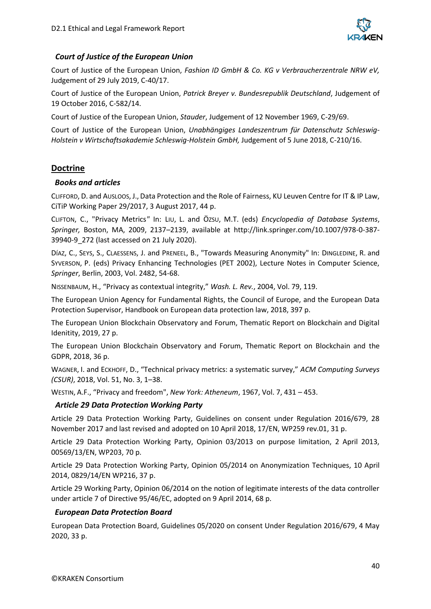

#### *Court of Justice of the European Union*

Court of Justice of the European Union, *Fashion ID GmbH & Co. KG v Verbraucherzentrale NRW eV,*  Judgement of 29 July 2019, C-40/17.

Court of Justice of the European Union, *Patrick Breyer v. Bundesrepublik Deutschland*, Judgement of 19 October 2016, C-582/14.

Court of Justice of the European Union, *Stauder*, Judgement of 12 November 1969, C-29/69.

Court of Justice of the European Union, *Unabhängiges Landeszentrum für Datenschutz Schleswig-Holstein v Wirtschaftsakademie Schleswig-Holstein GmbH,* Judgement of 5 June 2018, C-210/16.

#### **Doctrine**

#### *Books and articles*

CLIFFORD, D. and AUSLOOS, J.,Data Protection and the Role of Fairness, KU Leuven Centre for IT & IP Law, CiTiP Working Paper 29/2017, 3 August 2017, 44 p.

CLIFTON, C., "Privacy Metrics*"* In: LIU, L. and ÖZSU, M.T. (eds) *Encyclopedia of Database Systems*, *Springer,* Boston, MA, 2009, 2137–2139, available at http://link.springer.com/10.1007/978-0-387- 39940-9\_272 (last accessed on 21 July 2020).

DÍAZ, C., SEYS, S., CLAESSENS, J. and PRENEEL, B., "Towards Measuring Anonymity" In: DINGLEDINE, R. and SYVERSON, P. (eds) Privacy Enhancing Technologies (PET 2002), Lecture Notes in Computer Science, *Springer*, Berlin, 2003, Vol. 2482, 54-68.

NISSENBAUM, H., "Privacy as contextual integrity," *Wash. L. Rev.*, 2004, Vol. 79, 119.

The European Union Agency for Fundamental Rights, the Council of Europe, and the European Data Protection Supervisor, Handbook on European data protection law, 2018, 397 p.

The European Union Blockchain Observatory and Forum, Thematic Report on Blockchain and Digital Idenitity, 2019, 27 p.

The European Union Blockchain Observatory and Forum, Thematic Report on Blockchain and the GDPR, 2018, 36 p.

WAGNER, I. and ECKHOFF, D., "Technical privacy metrics: a systematic survey," *ACM Computing Surveys (CSUR)*, 2018, Vol. 51, No. 3, 1–38.

WESTIN, A.F., "Privacy and freedom", *New York: Atheneum*, 1967, Vol. 7, 431 – 453.

#### *Article 29 Data Protection Working Party*

Article 29 Data Protection Working Party, Guidelines on consent under Regulation 2016/679, 28 November 2017 and last revised and adopted on 10 April 2018, 17/EN, WP259 rev.01, 31 p.

Article 29 Data Protection Working Party, Opinion 03/2013 on purpose limitation, 2 April 2013, 00569/13/EN, WP203, 70 p.

Article 29 Data Protection Working Party, Opinion 05/2014 on Anonymization Techniques, 10 April 2014, 0829/14/EN WP216, 37 p.

Article 29 Working Party, Opinion 06/2014 on the notion of legitimate interests of the data controller under article 7 of Directive 95/46/EC, adopted on 9 April 2014, 68 p.

#### *European Data Protection Board*

European Data Protection Board, Guidelines 05/2020 on consent Under Regulation 2016/679, 4 May 2020, 33 p.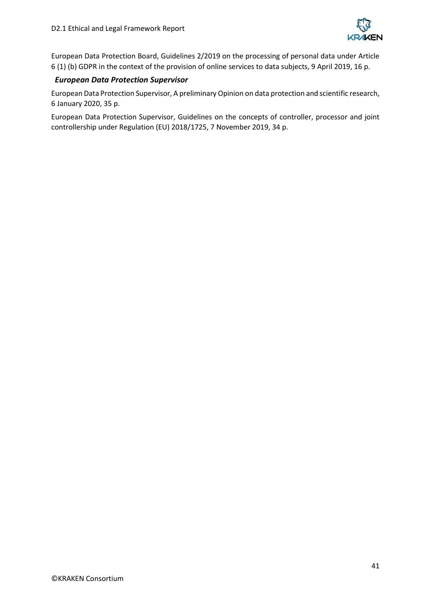

European Data Protection Board, Guidelines 2/2019 on the processing of personal data under Article 6 (1) (b) GDPR in the context of the provision of online services to data subjects, 9 April 2019, 16 p.

#### *European Data Protection Supervisor*

European Data Protection Supervisor, A preliminary Opinion on data protection and scientific research, 6 January 2020, 35 p.

European Data Protection Supervisor, Guidelines on the concepts of controller, processor and joint controllership under Regulation (EU) 2018/1725, 7 November 2019, 34 p.